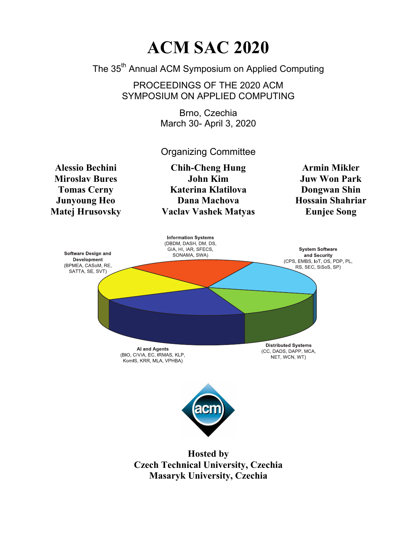## **ACM SAC 2020**

The 35<sup>th</sup> Annual ACM Symposium on Applied Computing

PROCEEDINGS OF THE 2020 ACM SYMPOSIUM ON APPLIED COMPUTING

> Brno, Czechia March 30- April 3, 2020

> Organizing Committee

**Alessio Bechini Miroslav Bures Tomas Cerny Junyoung Heo Matej Hrusovsky** 

**Chih-Cheng Hung John Kim Katerina Klatilova Dana Machova Vaclav Vashek Matyas** 

**Armin Mikler Juw Won Park Dongwan Shin Hossain Shahriar Eunjee Song** 



**Hosted by Czech Technical University, Czechia Masaryk University, Czechia**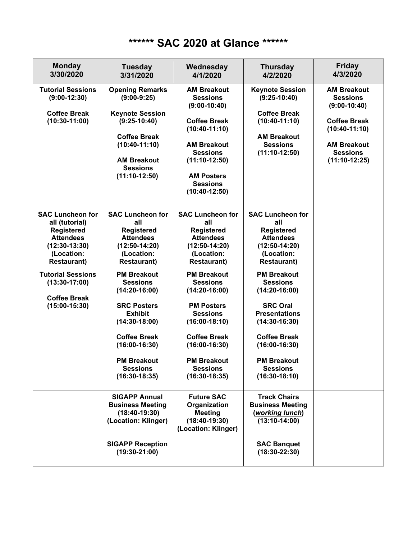## **\*\*\*\*\*\* SAC 2020 at Glance \*\*\*\*\*\***

| <b>Monday</b><br>3/30/2020                                                                                                                | <b>Tuesday</b><br>3/31/2020                                                                                                                                                                                               | Wednesday<br>4/1/2020                                                                                                                                                                                                     | <b>Thursday</b><br>4/2/2020                                                                                                                                                                                                  | <b>Friday</b><br>4/3/2020                                                                          |
|-------------------------------------------------------------------------------------------------------------------------------------------|---------------------------------------------------------------------------------------------------------------------------------------------------------------------------------------------------------------------------|---------------------------------------------------------------------------------------------------------------------------------------------------------------------------------------------------------------------------|------------------------------------------------------------------------------------------------------------------------------------------------------------------------------------------------------------------------------|----------------------------------------------------------------------------------------------------|
| <b>Tutorial Sessions</b><br>$(9:00-12:30)$                                                                                                | <b>Opening Remarks</b><br>$(9:00-9:25)$                                                                                                                                                                                   | <b>AM Breakout</b><br><b>Sessions</b><br>$(9:00-10:40)$                                                                                                                                                                   | <b>Keynote Session</b><br>$(9:25-10:40)$                                                                                                                                                                                     | <b>AM Breakout</b><br><b>Sessions</b><br>$(9:00-10:40)$                                            |
| <b>Coffee Break</b><br>$(10:30-11:00)$                                                                                                    | <b>Keynote Session</b><br>$(9:25-10:40)$<br><b>Coffee Break</b><br>$(10:40-11:10)$<br><b>AM Breakout</b><br><b>Sessions</b><br>$(11:10-12:50)$                                                                            | <b>Coffee Break</b><br>$(10:40-11:10)$<br><b>AM Breakout</b><br><b>Sessions</b><br>$(11:10-12:50)$<br><b>AM Posters</b><br><b>Sessions</b><br>$(10:40-12:50)$                                                             | <b>Coffee Break</b><br>$(10:40-11:10)$<br><b>AM Breakout</b><br><b>Sessions</b><br>$(11:10-12:50)$                                                                                                                           | <b>Coffee Break</b><br>$(10:40-11:10)$<br><b>AM Breakout</b><br><b>Sessions</b><br>$(11:10-12:25)$ |
| <b>SAC Luncheon for</b><br>all (tutorial)<br><b>Registered</b><br><b>Attendees</b><br>$(12:30-13:30)$<br>(Location:<br><b>Restaurant)</b> | <b>SAC Luncheon for</b><br>all<br><b>Registered</b><br><b>Attendees</b><br>$(12:50-14:20)$<br>(Location:<br><b>Restaurant)</b>                                                                                            | <b>SAC Luncheon for</b><br>all<br><b>Registered</b><br><b>Attendees</b><br>$(12:50-14:20)$<br>(Location:<br><b>Restaurant)</b>                                                                                            | <b>SAC Luncheon for</b><br>all<br><b>Registered</b><br><b>Attendees</b><br>$(12:50-14:20)$<br>(Location:<br><b>Restaurant)</b>                                                                                               |                                                                                                    |
| <b>Tutorial Sessions</b><br>$(13:30-17:00)$<br><b>Coffee Break</b><br>$(15:00-15:30)$                                                     | <b>PM Breakout</b><br><b>Sessions</b><br>$(14:20-16:00)$<br><b>SRC Posters</b><br><b>Exhibit</b><br>$(14:30-18:00)$<br><b>Coffee Break</b><br>$(16:00-16:30)$<br><b>PM Breakout</b><br><b>Sessions</b><br>$(16:30-18:35)$ | <b>PM Breakout</b><br><b>Sessions</b><br>$(14:20-16:00)$<br><b>PM Posters</b><br><b>Sessions</b><br>$(16:00-18:10)$<br><b>Coffee Break</b><br>$(16:00-16:30)$<br><b>PM Breakout</b><br><b>Sessions</b><br>$(16:30-18:35)$ | <b>PM Breakout</b><br><b>Sessions</b><br>$(14:20-16:00)$<br><b>SRC Oral</b><br><b>Presentations</b><br>$(14:30-16:30)$<br><b>Coffee Break</b><br>$(16:00-16:30)$<br><b>PM Breakout</b><br><b>Sessions</b><br>$(16:30-18:10)$ |                                                                                                    |
|                                                                                                                                           | <b>SIGAPP Annual</b><br><b>Business Meeting</b><br>$(18:40-19:30)$<br>(Location: Klinger)<br><b>SIGAPP Reception</b><br>$(19:30-21:00)$                                                                                   | <b>Future SAC</b><br>Organization<br><b>Meeting</b><br>$(18:40-19:30)$<br>(Location: Klinger)                                                                                                                             | <b>Track Chairs</b><br><b>Business Meeting</b><br>(working lunch)<br>$(13:10-14:00)$<br><b>SAC Banquet</b><br>$(18:30-22:30)$                                                                                                |                                                                                                    |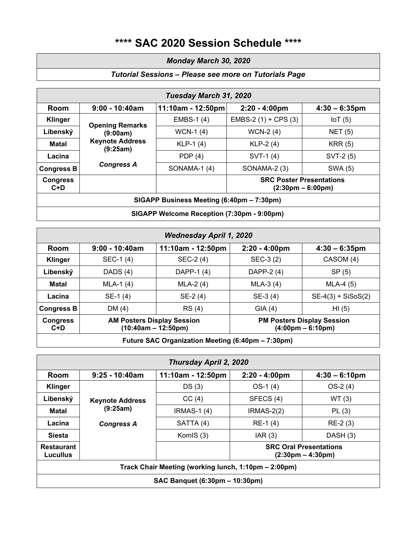### **\*\*\*\* SAC 2020 Session Schedule \*\*\*\***

### *Monday March 30, 2020*

### *Tutorial Sessions – Please see more on Tutorials Page*

|                          |                                    | Tuesday March 31, 2020                     |                                 |                                     |
|--------------------------|------------------------------------|--------------------------------------------|---------------------------------|-------------------------------------|
| Room                     | $9:00 - 10:40am$                   | 11:10am - 12:50pm                          | $2:20 - 4:00 \text{pm}$         | $4:30 - 6:35$ pm                    |
| <b>Klinger</b>           | <b>Opening Remarks</b>             | EMBS-1 (4)                                 | EMBS-2 $(1)$ + CPS $(3)$        | $I \circ T$ (5)                     |
| Libenský                 | (9:00am)                           | $WCN-1$ (4)                                | WCN-2 $(4)$                     | NET(5)                              |
| <b>Matal</b>             | <b>Keynote Address</b><br>(9:25am) | $KLP-1$ (4)                                | $KLP-2(4)$                      | KRR(5)                              |
| Lacina                   |                                    | PDP $(4)$                                  | SVT-1 (4)                       | SVT-2 (5)                           |
| <b>Congress B</b>        | <b>Congress A</b>                  | SONAMA-1 (4)                               | SONAMA-2 (3)                    | SWA (5)                             |
| <b>Congress</b><br>$C+D$ |                                    |                                            | <b>SRC Poster Presentations</b> | $(2:30 \text{pm} - 6:00 \text{pm})$ |
|                          |                                    | SIGAPP Business Meeting (6:40pm – 7:30pm)  |                                 |                                     |
|                          |                                    | SIGAPP Welcome Reception (7:30pm - 9:00pm) |                                 |                                     |

|                        |                                                            | <b>Wednesday April 1, 2020</b>                    |                         |                                                                          |
|------------------------|------------------------------------------------------------|---------------------------------------------------|-------------------------|--------------------------------------------------------------------------|
| Room                   | $9:00 - 10:40$ am                                          | 11:10am - 12:50pm                                 | $2:20 - 4:00 \text{pm}$ | $4:30 - 6:35$ pm                                                         |
| <b>Klinger</b>         | SEC-1(4)                                                   | SEC-2 (4)                                         | SEC-3 (2)               | CASOM (4)                                                                |
| Libenský               | DADS (4)                                                   | DAPP-1 (4)                                        | DAPP-2 (4)              | SP(5)                                                                    |
| <b>Matal</b>           | $MLA-1$ (4)                                                | $MLA-2(4)$                                        | $MLA-3(4)$              | $MLA-4(5)$                                                               |
| Lacina                 | $SE-1(4)$                                                  | $SE-2(4)$                                         | $SE-3(4)$               | $SE-4(3) + SiSoS(2)$                                                     |
| <b>Congress B</b>      | DM(4)                                                      | RS (4)                                            | GIA(4)                  | HI(5)                                                                    |
| <b>Congress</b><br>C+D | <b>AM Posters Display Session</b><br>$(10:40am - 12:50pm)$ |                                                   |                         | <b>PM Posters Display Session</b><br>$(4:00 \text{pm} - 6:10 \text{pm})$ |
|                        |                                                            | Future SAC Organization Meeting (6:40pm - 7:30pm) |                         |                                                                          |

*Thursday April 2, 2020* **Room 9:25 - 10:40am 11:10am - 12:50pm 2:20 - 4:00pm 4:30 – 6:10pm Klinger** DS (3) OS-1 (4) OS-2 (4) **Libenský | Keynote Address | CC (4) | SFECS (4) | WT (3) Matal**  $(9.25am)$   $|$  IRMAS-1 (4)  $|$  IRMAS-2(2)  $|$  PL (3) **Lacina**  $\begin{vmatrix} \text{congress A} \\ \text{SATTA} \end{vmatrix}$  RE-1(4) RE-2(3) **Siesta** | **KomIS (3)**  $|$  **IAR (3)**  $|$  **DASH (3) Restaurant Lucullus (9:25am) SRC Oral Presentations (2:30pm – 4:30pm) Track Chair Meeting (working lunch, 1:10pm – 2:00pm) SAC Banquet (6:30pm – 10:30pm)**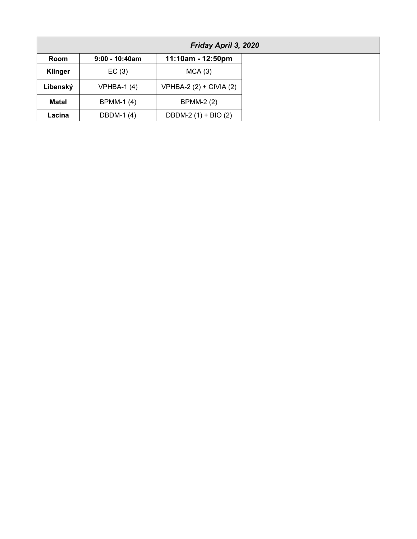|                | Friday April 3, 2020 |                           |  |
|----------------|----------------------|---------------------------|--|
| Room           | $9:00 - 10:40$ am    | 11:10am - 12:50pm         |  |
| <b>Klinger</b> | EC(3)                | MCA(3)                    |  |
| Libenský       | VPHBA-1 $(4)$        | $VPHBA-2 (2) + CIVIA (2)$ |  |
| <b>Matal</b>   | <b>BPMM-1(4)</b>     | <b>BPMM-2 (2)</b>         |  |
| Lacina         | DBDM-1 (4)           | DBDM-2 (1) + BIO (2)      |  |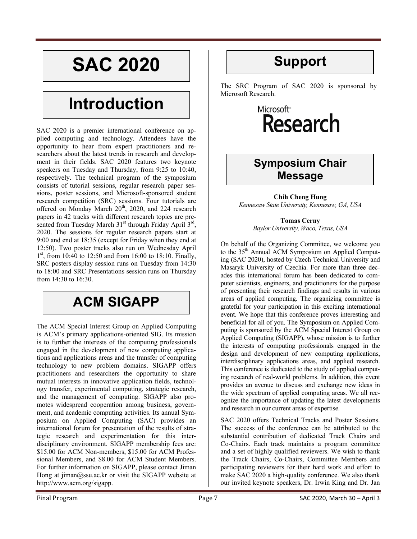# **SAC 2020**

## **Introduction**

SAC 2020 is a premier international conference on applied computing and technology. Attendees have the opportunity to hear from expert practitioners and researchers about the latest trends in research and development in their fields. SAC 2020 features two keynote speakers on Tuesday and Thursday, from 9:25 to 10:40, respectively. The technical program of the symposium consists of tutorial sessions, regular research paper sessions, poster sessions, and Microsoft-sponsored student research competition (SRC) sessions. Four tutorials are offered on Monday March 20<sup>th</sup>, 2020, and 224 research papers in 42 tracks with different research topics are presented from Tuesday March  $31<sup>st</sup>$  through Friday April  $3<sup>rd</sup>$ , 2020. The sessions for regular research papers start at 9:00 and end at 18:35 (except for Friday when they end at 12:50). Two poster tracks also run on Wednesday April  $1<sup>st</sup>$ , from 10:40 to 12:50 and from 16:00 to 18:10. Finally, SRC posters display session runs on Tuesday from 14:30 to 18:00 and SRC Presentations session runs on Thursday from 14:30 to 16:30.

## **ACM SIGAPP**

The ACM Special Interest Group on Applied Computing is ACM's primary applications-oriented SIG. Its mission is to further the interests of the computing professionals engaged in the development of new computing applications and applications areas and the transfer of computing technology to new problem domains. SIGAPP offers practitioners and researchers the opportunity to share mutual interests in innovative application fields, technology transfer, experimental computing, strategic research, and the management of computing. SIGAPP also promotes widespread cooperation among business, government, and academic computing activities. Its annual Symposium on Applied Computing (SAC) provides an international forum for presentation of the results of strategic research and experimentation for this interdisciplinary environment. SIGAPP membership fees are: \$15.00 for ACM Non-members, \$15.00 for ACM Professional Members, and \$8.00 for ACM Student Members. For further information on SIGAPP, please contact Jiman Hong at jiman@ssu.ac.kr or visit the SIGAPP website at http://www.acm.org/sigapp.

## **Support**

The SRC Program of SAC 2020 is sponsored by Microsoft Research.

## Microsoft<sup>®</sup> **Research**

### **Symposium Chair Message**

**Chih Cheng Hung**  *Kennesaw State University, Kennesaw, GA, USA* 

> **Tomas Cerny**  *Baylor University, Waco, Texas, USA*

On behalf of the Organizing Committee, we welcome you to the 35<sup>th</sup> Annual ACM Symposium on Applied Computing (SAC 2020), hosted by Czech Technical University and Masaryk University of Czechia. For more than three decades this international forum has been dedicated to computer scientists, engineers, and practitioners for the purpose of presenting their research findings and results in various areas of applied computing. The organizing committee is grateful for your participation in this exciting international event. We hope that this conference proves interesting and beneficial for all of you. The Symposium on Applied Computing is sponsored by the ACM Special Interest Group on Applied Computing (SIGAPP), whose mission is to further the interests of computing professionals engaged in the design and development of new computing applications, interdisciplinary applications areas, and applied research. This conference is dedicated to the study of applied computing research of real-world problems. In addition, this event provides an avenue to discuss and exchange new ideas in the wide spectrum of applied computing areas. We all recognize the importance of updating the latest developments and research in our current areas of expertise.

SAC 2020 offers Technical Tracks and Poster Sessions. The success of the conference can be attributed to the substantial contribution of dedicated Track Chairs and Co-Chairs. Each track maintains a program committee and a set of highly qualified reviewers. We wish to thank the Track Chairs, Co-Chairs, Committee Members and participating reviewers for their hard work and effort to make SAC 2020 a high-quality conference. We also thank our invited keynote speakers, Dr. Irwin King and Dr. Jan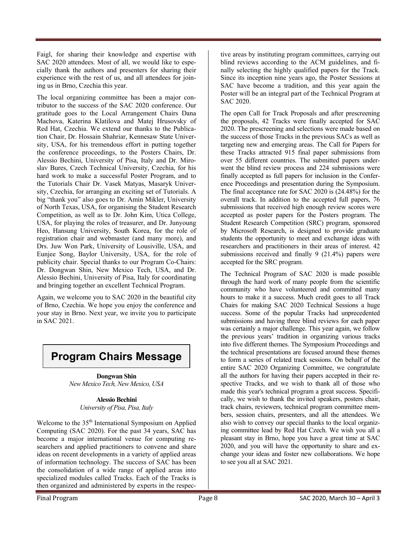Faigl, for sharing their knowledge and expertise with SAC 2020 attendees. Most of all, we would like to especially thank the authors and presenters for sharing their experience with the rest of us, and all attendees for joining us in Brno, Czechia this year.

The local organizing committee has been a major contributor to the success of the SAC 2020 conference. Our gratitude goes to the Local Arrangement Chairs Dana Machova, Katerina Klatilova and Matej Hrusovsky of Red Hat, Czechia. We extend our thanks to the Publication Chair, Dr. Hossain Shahriar, Kennesaw State University, USA, for his tremendous effort in putting together the conference proceedings, to the Posters Chairs, Dr. Alessio Bechini, University of Pisa, Italy and Dr. Miroslav Bures, Czech Technical University, Czechia, for his hard work to make a successful Poster Program, and to the Tutorials Chair Dr. Vasek Matyas, Masaryk University, Czechia, for arranging an exciting set of Tutorials. A big "thank you" also goes to Dr. Amin Mikler, University of North Texas, USA, for organising the Student Research Competition, as well as to Dr. John Kim, Utica College, USA, for playing the roles of treasurer, and Dr. Junyoung Heo, Hansung University, South Korea, for the role of registration chair and webmaster (and many more), and Drs. Juw Won Park, University of Lousiville, USA, and Eunjee Song, Baylor University, USA, for the role of publicity chair. Special thanks to our Program Co-Chairs: Dr. Dongwan Shin, New Mexico Tech, USA, and Dr. Alessio Bechini, University of Pisa, Italy for coordinating and bringing together an excellent Technical Program.

Again, we welcome you to SAC 2020 in the beautiful city of Brno, Czechia. We hope you enjoy the conference and your stay in Brno. Next year, we invite you to participate in SAC 2021.

## **Program Chairs Message**

**Dongwan Shin**  *New Mexico Tech, New Mexico, USA* 

> **Alessio Bechini**  *University of Pisa, Pisa, Italy*

Welcome to the 35<sup>th</sup> International Symposium on Applied Computing (SAC 2020). For the past 34 years, SAC has become a major international venue for computing researchers and applied practitioners to convene and share ideas on recent developments in a variety of applied areas of information technology. The success of SAC has been the consolidation of a wide range of applied areas into specialized modules called Tracks. Each of the Tracks is then organized and administered by experts in the respec-

tive areas by instituting program committees, carrying out blind reviews according to the ACM guidelines, and finally selecting the highly qualified papers for the Track. Since its inception nine years ago, the Poster Sessions at SAC have become a tradition, and this year again the Poster will be an integral part of the Technical Program at SAC 2020.

The open Call for Track Proposals and after prescreening the proposals, 42 Tracks were finally accepted for SAC 2020. The prescreening and selections were made based on the success of those Tracks in the previous SACs as well as targeting new and emerging areas. The Call for Papers for these Tracks attracted 915 final paper submissions from over 55 different countries. The submitted papers underwent the blind review process and 224 submissions were finally accepted as full papers for inclusion in the Conference Proceedings and presentation during the Symposium. The final acceptance rate for SAC 2020 is (24.48%) for the overall track. In addition to the accepted full papers, 76 submissions that received high enough review scores were accepted as poster papers for the Posters program. The Student Research Competition (SRC) program, sponsored by Microsoft Research, is designed to provide graduate students the opportunity to meet and exchange ideas with researchers and practitioners in their areas of interest. 42 submissions received and finally 9 (21.4%) papers were accepted for the SRC program.

The Technical Program of SAC 2020 is made possible through the hard work of many people from the scientific community who have volunteered and committed many hours to make it a success. Much credit goes to all Track Chairs for making SAC 2020 Technical Sessions a huge success. Some of the popular Tracks had unprecedented submissions and having three blind reviews for each paper was certainly a major challenge. This year again, we follow the previous years' tradition in organizing various tracks into five different themes. The Symposium Proceedings and the technical presentations are focused around these themes to form a series of related track sessions. On behalf of the entire SAC 2020 Organizing Committee, we congratulate all the authors for having their papers accepted in their respective Tracks, and we wish to thank all of those who made this year's technical program a great success. Specifically, we wish to thank the invited speakers, posters chair, track chairs, reviewers, technical program committee members, session chairs, presenters, and all the attendees. We also wish to convey our special thanks to the local organizing committee lead by Red Hat Czech. We wish you all a pleasant stay in Brno, hope you have a great time at SAC 2020, and you will have the opportunity to share and exchange your ideas and foster new collaborations. We hope to see you all at SAC 2021.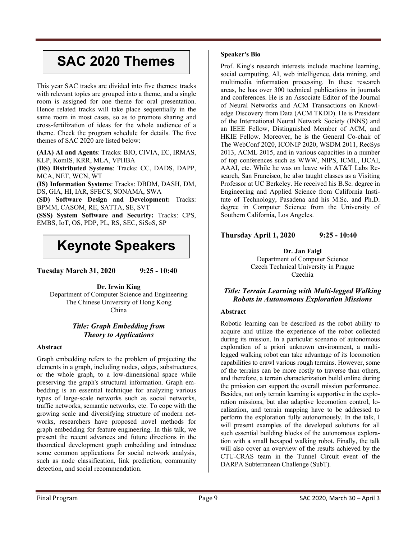## **SAC 2020 Themes**

This year SAC tracks are divided into five themes: tracks with relevant topics are grouped into a theme, and a single room is assigned for one theme for oral presentation. Hence related tracks will take place sequentially in the same room in most cases, so as to promote sharing and cross-fertilization of ideas for the whole audience of a theme. Check the program schedule for details. The five themes of SAC 2020 are listed below:

**(AIA) AI and Agents**: Tracks: BIO, CIVIA, EC, IRMAS, KLP, KomIS, KRR, MLA, VPHBA

**(DS) Distributed Systems**: Tracks: CC, DADS, DAPP, MCA, NET, WCN, WT

**(IS) Information Systems**: Tracks: DBDM, DASH, DM, DS, GIA, HI, IAR, SFECS, SONAMA, SWA

**(SD) Software Design and Development:** Tracks: BPMM, CASOM, RE, SATTA, SE, SVT **(SSS) System Software and Security:** Tracks: CPS,

EMBS, IoT, OS, PDP, PL, RS, SEC, SiSoS, SP

## **Keynote Speakers**

**Tuesday March 31, 2020 9:25 - 10:40** 

**Dr. Irwin King**  Department of Computer Science and Engineering The Chinese University of Hong Kong China

### *Title: Graph Embedding from Theory to Applications*

### **Abstract**

Graph embedding refers to the problem of projecting the elements in a graph, including nodes, edges, substructures, or the whole graph, to a low-dimensional space while preserving the graph's structural information. Graph embedding is an essential technique for analyzing various types of large-scale networks such as social networks, traffic networks, semantic networks, etc. To cope with the growing scale and diversifying structure of modern networks, researchers have proposed novel methods for graph embedding for feature engineering. In this talk, we present the recent advances and future directions in the theoretical development graph embedding and introduce some common applications for social network analysis, such as node classification, link prediction, community detection, and social recommendation.

### **Speaker's Bio**

Prof. King's research interests include machine learning, social computing, AI, web intelligence, data mining, and multimedia information processing. In these research areas, he has over 300 technical publications in journals and conferences. He is an Associate Editor of the Journal of Neural Networks and ACM Transactions on Knowledge Discovery from Data (ACM TKDD). He is President of the International Neural Network Society (INNS) and an IEEE Fellow, Distinguished Member of ACM, and HKIE Fellow. Moreover, he is the General Co-chair of The WebConf 2020, ICONIP 2020, WSDM 2011, RecSys 2013, ACML 2015, and in various capacities in a number of top conferences such as WWW, NIPS, ICML, IJCAI, AAAI, etc. While he was on leave with AT&T Labs Research, San Francisco, he also taught classes as a Visiting Professor at UC Berkeley. He received his B.Sc. degree in Engineering and Applied Science from California Institute of Technology, Pasadena and his M.Sc. and Ph.D. degree in Computer Science from the University of Southern California, Los Angeles.

### **Thursday April 1, 2020 9:25 - 10:40**

**Dr. Jan Faigl**  Department of Computer Science Czech Technical University in Prague Czechia

### *Title: Terrain Learning with Multi-legged Walking Robots in Autonomous Exploration Missions*

### **Abstract**

Robotic learning can be described as the robot ability to acquire and utilize the experience of the robot collected during its mission. In a particular scenario of autonomous exploration of a priori unknown environment, a multilegged walking robot can take advantage of its locomotion capabilities to crawl various rough terrains. However, some of the terrains can be more costly to traverse than others, and therefore, a terrain characterization build online during the pmission can support the overall mission performance. Besides, not only terrain learning is supportive in the exploration missions, but also adaptive locomotion control, localization, and terrain mapping have to be addressed to perform the exploration fully autonomously. In the talk, I will present examples of the developed solutions for all such essential building blocks of the autonomous exploration with a small hexapod walking robot. Finally, the talk will also cover an overview of the results achieved by the CTU-CRAS team in the Tunnel Circuit event of the DARPA Subterranean Challenge (SubT).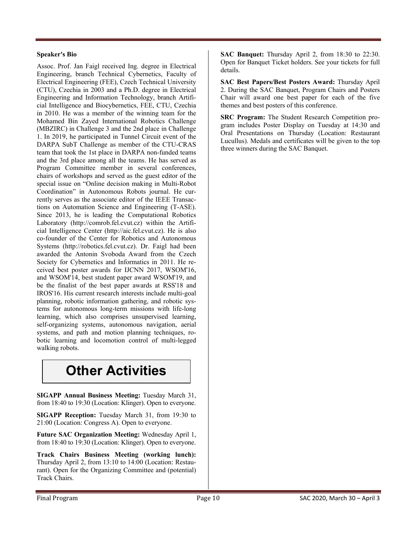### **Speaker's Bio**

Assoc. Prof. Jan Faigl received Ing. degree in Electrical Engineering, branch Technical Cybernetics, Faculty of Electrical Engineering (FEE), Czech Technical University (CTU), Czechia in 2003 and a Ph.D. degree in Electrical Engineering and Information Technology, branch Artificial Intelligence and Biocybernetics, FEE, CTU, Czechia in 2010. He was a member of the winning team for the Mohamed Bin Zayed International Robotics Challenge (MBZIRC) in Challenge 3 and the 2nd place in Challenge 1. In 2019, he participated in Tunnel Circuit event of the DARPA SubT Challenge as member of the CTU-CRAS team that took the 1st place in DARPA non-funded teams and the 3rd place among all the teams. He has served as Program Committee member in several conferences, chairs of workshops and served as the guest editor of the special issue on "Online decision making in Multi-Robot Coordination" in Autonomous Robots journal. He currently serves as the associate editor of the IEEE Transactions on Automation Science and Engineering (T-ASE). Since 2013, he is leading the Computational Robotics Laboratory (http://comrob.fel.cvut.cz) within the Artificial Intelligence Center (http://aic.fel.cvut.cz). He is also co-founder of the Center for Robotics and Autonomous Systems (http://robotics.fel.cvut.cz). Dr. Faigl had been awarded the Antonin Svoboda Award from the Czech Society for Cybernetics and Informatics in 2011. He received best poster awards for IJCNN 2017, WSOM'16, and WSOM'14, best student paper award WSOM'19, and be the finalist of the best paper awards at RSS'18 and IROS'16. His current research interests include multi-goal planning, robotic information gathering, and robotic systems for autonomous long-term missions with life-long learning, which also comprises unsupervised learning, self-organizing systems, autonomous navigation, aerial systems, and path and motion planning techniques, robotic learning and locomotion control of multi-legged walking robots.

## **Other Activities**

**SIGAPP Annual Business Meeting:** Tuesday March 31, from 18:40 to 19:30 (Location: Klinger). Open to everyone.

**SIGAPP Reception:** Tuesday March 31, from 19:30 to 21:00 (Location: Congress A). Open to everyone.

**Future SAC Organization Meeting:** Wednesday April 1, from 18:40 to 19:30 (Location: Klinger). Open to everyone.

**Track Chairs Business Meeting (working lunch):** Thursday April 2, from 13:10 to 14:00 (Location: Restaurant). Open for the Organizing Committee and (potential) Track Chairs.

**SAC Banquet:** Thursday April 2, from 18:30 to 22:30. Open for Banquet Ticket holders. See your tickets for full details.

**SAC Best Papers/Best Posters Award:** Thursday April 2. During the SAC Banquet, Program Chairs and Posters Chair will award one best paper for each of the five themes and best posters of this conference.

**SRC Program:** The Student Research Competition program includes Poster Display on Tuesday at 14:30 and Oral Presentations on Thursday (Location: Restaurant Lucullus). Medals and certificates will be given to the top three winners during the SAC Banquet.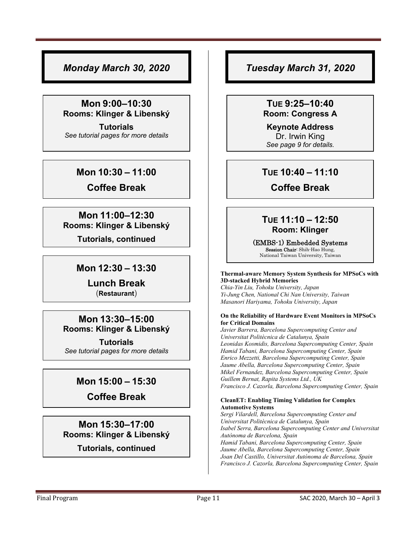### *Monday March 30, 2020*

### **Mon 9:00–10:30 Rooms: Klinger & Libenský**

**Tutorials** *See tutorial pages for more details* 

### **Mon 10:30 – 11:00**

**Coffee Break** 

### **Mon 11:00–12:30 Rooms: Klinger & Libenský**

**Tutorials, continued**

### **Mon 12:30 – 13:30**

**Lunch Break**  (**Restaurant**)

### **Mon 13:30–15:00 Rooms: Klinger & Libenský**

**Tutorials**  *See tutorial pages for more details* 

### **Mon 15:00 – 15:30**

**Coffee Break** 

### **Mon 15:30–17:00 Rooms: Klinger & Libenský**

### **Tutorials, continued**

### *Tuesday March 31, 2020*

### **TUE 9:25–10:40 Room: Congress A**

**Keynote Address**  Dr. Irwin King *See page 9 for details.* 

### **TUE 10:40 – 11:10**

**Coffee Break** 

### **TUE 11:10 – 12:50 Room: Klinger**

### (EMBS-1) Embedded Systems

Session Chair: Shih-Hao Hung, National Taiwan University, Taiwan

### **Thermal-aware Memory System Synthesis for MPSoCs with 3D-stacked Hybrid Memories**

*Chia-Yin Liu, Tohoku University, Japan Yi-Jung Chen, National Chi Nan University, Taiwan Masanori Hariyama, Tohoku University, Japan* 

### **On the Reliability of Hardware Event Monitors in MPSoCs for Critical Domains**

*Javier Barrera, Barcelona Supercomputing Center and Universitat Politècnica de Catalunya, Spain Leonidas Kosmidis, Barcelona Supercomputing Center, Spain Hamid Tabani, Barcelona Supercomputing Center, Spain Enrico Mezzetti, Barcelona Supercomputing Center, Spain Jaume Abella, Barcelona Supercomputing Center, Spain Mikel Fernandez, Barcelona Supercomputing Center, Spain Guillem Bernat, Rapita Systems Ltd., UK Francisco J. Cazorla, Barcelona Supercomputing Center, Spain* 

### **CleanET: Enabling Timing Validation for Complex Automotive Systems**

*Sergi Vilardell, Barcelona Supercomputing Center and Universitat Politècnica de Catalunya, Spain Isabel Serra, Barcelona Supercomputing Center and Universitat Autònoma de Barcelona, Spain Hamid Tabani, Barcelona Supercomputing Center, Spain Jaume Abella, Barcelona Supercomputing Center, Spain Joan Del Castillo, Universitat Autònoma de Barcelona, Spain Francisco J. Cazorla, Barcelona Supercomputing Center, Spain*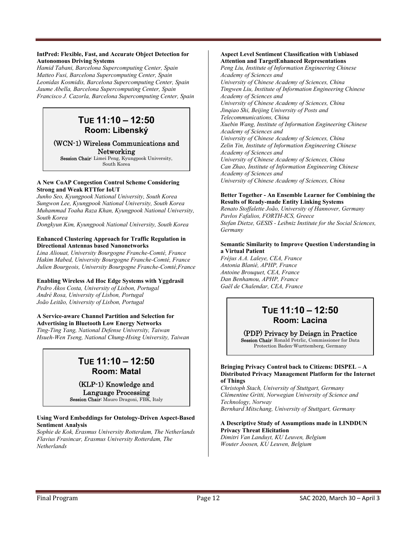#### **IntPred: Flexible, Fast, and Accurate Object Detection for Autonomous Driving Systems**

*Hamid Tabani, Barcelona Supercomputing Center, Spain Matteo Fusi, Barcelona Supercomputing Center, Spain Leonidas Kosmidis, Barcelona Supercomputing Center, Spain Jaume Abella, Barcelona Supercomputing Center, Spain Francisco J. Cazorla, Barcelona Supercomputing Center, Spain* 

### **TUE 11:10 – 12:50 Room: Libenský**

### (WCN-1) Wireless Communications and Networking

Session Chair: Limei Peng, Kyungpook University, South Korea

### **A New CoAP Congestion Control Scheme Considering Strong and Weak RTTfor IoUT**

*Junho Seo, Kyungpook National University, South Korea Sungwon Lee, Kyungpook National University, South Korea Muhammad Toaha Raza Khan, Kyungpook National University, South Korea* 

*Dongkyun Kim, Kyungpook National University, South Korea* 

### **Enhanced Clustering Approach for Traffic Regulation in Directional Antennas based Nanonetworks**

*Lina Aliouat, University Bourgogne Franche-Comté, France Hakim Mabed, University Bourgogne Franche-Comté, France Julien Bourgeois, University Bourgogne Franche-Comté,France* 

### **Enabling Wireless Ad Hoc Edge Systems with Yggdrasil**

*Pedro Ákos Costa, University of Lisbon, Portugal André Rosa, University of Lisbon, Portugal João Leitão, University of Lisbon, Portugal* 

### **A Service-aware Channel Partition and Selection for**

**Advertising in Bluetooth Low Energy Networks**  *Ting-Ting Yang, National Defense University, Taiwan Hsueh-Wen Tseng, National Chung-Hsing University, Taiwan* 

### **TUE 11:10 – 12:50 Room: Matal**

### (KLP-1) Knowledge and Language Processing

Session Chair: Mauro Dragoni, FBK, Italy

### **Using Word Embeddings for Ontology-Driven Aspect-Based Sentiment Analysis**

*Sophie de Kok, Erasmus University Rotterdam, The Netherlands Flavius Frasincar, Erasmus University Rotterdam, The Netherlands* 

#### **Aspect Level Sentiment Classification with Unbiased Attention and TargetEnhanced Representations**

*Peng Liu, Institute of Information Engineering Chinese Academy of Sciences and University of Chinese Academy of Sciences, China Tingwen Liu, Institute of Information Engineering Chinese Academy of Sciences and University of Chinese Academy of Sciences, China Jinqiao Shi, Beijing University of Posts and Telecommunications, China Xuebin Wang, Institute of Information Engineering Chinese Academy of Sciences and University of Chinese Academy of Sciences, China Zelin Yin, Institute of Information Engineering Chinese Academy of Sciences and University of Chinese Academy of Sciences, China Can Zhao, Institute of Information Engineering Chinese Academy of Sciences and University of Chinese Academy of Sciences, China* 

### **Better Together - An Ensemble Learner for Combining the Results of Ready-made Entity Linking Systems**

*Renato Stoffalette João, University of Hannover, Germany Pavlos Fafalios, FORTH-ICS, Greece Stefan Dietze, GESIS - Leibniz Institute for the Social Sciences, Germany* 

### **Semantic Similarity to Improve Question Understanding in a Virtual Patient**

*Fréjus A.A. Laleye, CEA, France Antonia Blanié, APHP, France Antoine Brouquet, CEA, France Dan Benhamou, APHP, France Gaël de Chalendar, CEA, France* 

### **TUE 11:10 – 12:50 Room: Lacina**

### (PDP) Privacy by Deisgn in Practice

Session Chair: Ronald Petrlic, Commissioner for Data Protection Baden-Wurttemberg, Germany

#### **Bringing Privacy Control back to Citizens: DISPEL – A Distributed Privacy Management Platform for the Internet of Things**

*Christoph Stach, University of Stuttgart, Germany Clémentine Gritti, Norwegian University of Science and Technology, Norway Bernhard Mitschang, University of Stuttgart, Germany* 

### **A Descriptive Study of Assumptions made in LINDDUN Privacy Threat Elicitation**

*Dimitri Van Landuyt, KU Leuven, Belgium Wouter Joosen, KU Leuven, Belgium*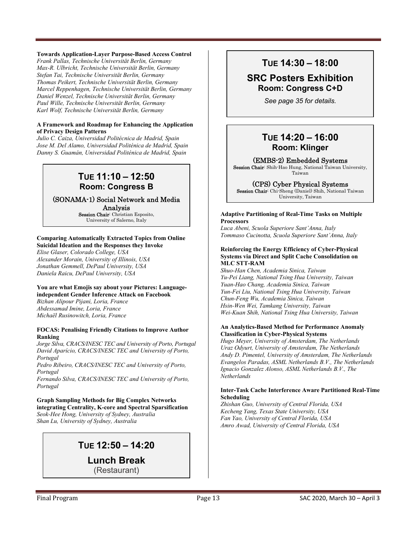### **Towards Application-Layer Purpose-Based Access Control**

*Frank Pallas, Technische Universität Berlin, Germany Max-R. Ulbricht, Technische Universität Berlin, Germany Stefan Tai, Technische Universität Berlin, Germany Thomas Peikert, Technische Universität Berlin, Germany Marcel Reppenhagen, Technische Universität Berlin, Germany Daniel Wenzel, Technische Universität Berlin, Germany Paul Wille, Technische Universität Berlin, Germany Karl Wolf, Technische Universität Berlin, Germany* 

### **A Framework and Roadmap for Enhancing the Application of Privacy Design Patterns**

*Julio C. Caiza, Universidad Politécnica de Madrid, Spain Jose M. Del Alamo, Universidad Politénica de Madrid, Spain Danny S. Guamán, Universidad Politénica de Madrid, Spain* 

### **TUE 11:10 – 12:50 Room: Congress B**

(SONAMA-1) Social Network and Media Analysis Session Chair: Christian Esposito,

University of Salerno, Italy

### **Comparing Automatically Extracted Topics from Online Suicidal Ideation and the Responses they Invoke**

*Elise Glaser, Colorado College, USA Alexander Morain, University of Illinois, USA Jonathan Gemmell, DePaul University, USA Daniela Raicu, DePaul University, USA* 

### **You are what Emojis say about your Pictures: Languageindependent Gender Inference Attack on Facebook**

*Bizhan Alipour Pijani, Loria, France Abdessamad Imine, Loria, France Michaël Rusinowitch, Loria, France* 

### **FOCAS: Penalising Friendly Citations to Improve Author Ranking**

*Jorge Silva, CRACS/INESC TEC and University of Porto, Portugal David Aparício, CRACS/INESC TEC and University of Porto, Portugal Pedro Ribeiro, CRACS/INESC TEC and University of Porto,* 

*Portugal Fernando Silva, CRACS/INESC TEC and University of Porto,* 

*Portugal* 

**Graph Sampling Methods for Big Complex Networks integrating Centrality, K-core and Spectral Sparsification**  *Seok-Hee Hong, University of Sydney, Australia Shan Lu, University of Sydney, Australia* 

### **TUE 12:50 – 14:20**

**Lunch Break**  (Restaurant)

### **TUE 14:30 – 18:00**

### **SRC Posters Exhibition Room: Congress C+D**

*See page 35 for details.*

### **TUE 14:20 – 16:00 Room: Klinger**

### (EMBS-2) Embedded Systems

Session Chair: Shih-Hao Hung, National Taiwan University, Taiwan

### (CPS) Cyber Physical Systems

Session Chair: Chi-Sheng (Daniel) Shih, National Taiwan University, Taiwan

#### **Adaptive Partitioning of Real-Time Tasks on Multiple Processors**

*Luca Abeni, Scuola Superiore Sant'Anna, Italy Tommaso Cucinotta, Scuola Superiore Sant'Anna, Italy* 

#### **Reinforcing the Energy Efficiency of Cyber-Physical Systems via Direct and Split Cache Consolidation on MLC STT-RAM**

*Shuo-Han Chen, Academia Sinica, Taiwan Yu-Pei Liang, National Tsing Hua University, Taiwan Yuan-Hao Chang, Academia Sinica, Taiwan Yun-Fei Liu, National Tsing Hua University, Taiwan Chun-Feng Wu, Academia Sinica, Taiwan Hsin-Wen Wei, Tamkang University, Taiwan Wei-Kuan Shih, National Tsing Hua University, Taiwan* 

#### **An Analytics-Based Method for Performance Anomaly Classification in Cyber-Physical Systems**

*Hugo Meyer, University of Amsterdam, The Netherlands Uraz Odyurt, University of Amsterdam, The Netherlands Andy D. Pimentel, University of Amsterdam, The Netherlands Evangelos Paradas, ASML Netherlands B.V., The Netherlands Ignacio Gonzalez Alonso, ASML Netherlands B.V., The Netherlands* 

### **Inter-Task Cache Interference Aware Partitioned Real-Time Scheduling**

*Zhishan Guo, University of Central Florida, USA Kecheng Yang, Texas State University, USA Fan Yao, University of Central Florida, USA Amro Awad, University of Central Florida, USA*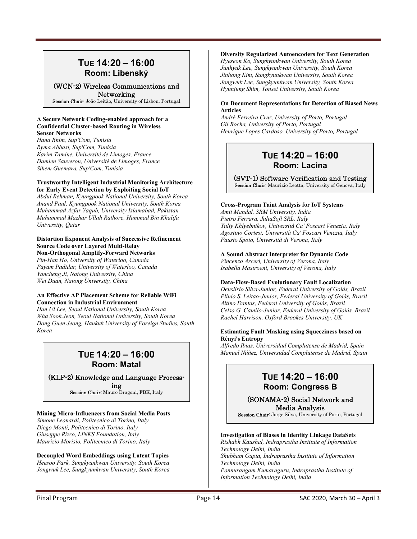### **TUE 14:20 – 16:00 Room: Libenský**

(WCN-2) Wireless Communications and

Networking

Session Chair: João Leitão, University of Lisbon, Portugal

#### **A Secure Network Coding-enabled approach for a Confidential Cluster-based Routing in Wireless Sensor Networks**

*Hana Rhim, Sup'Com, Tunisia Ryma Abbasi, Sup'Com, Tunisia Karim Tamine, Université de Limoges, France Damien Sauveron, Université de Limoges, France Sihem Guemara, Sup'Com, Tunisia* 

### **Trustworthy Intelligent Industrial Monitoring Architecture for Early Event Detection by Exploiting Social IoT**

*Abdul Rehman, Kyungpook National University, South Korea Anand Paul, Kyungpook National University, South Korea Muhammad Azfar Yaqub, University Islamabad, Pakistan Muhammad Mazhar Ullah Rathore, Hammad Bin Khalifa University, Qatar* 

### **Distortion Exponent Analysis of Successive Refinement Source Code over Layered Multi-Relay Non-Orthogonal Amplify-Forward Networks**

*Pin-Han Ho, University of Waterloo, Canada Payam Padidar, University of Waterloo, Canada Yancheng Ji, Natong University, China Wei Duan, Natong University, China* 

### **An Effective AP Placement Scheme for Reliable WiFi Connection in Industrial Environment**

*Han Ul Lee, Seoul National University, South Korea Wha Sook Jeon, Seoul National University, South Korea Dong Guen Jeong, Hankuk University of Foreign Studies, South Korea*

### **TUE 14:20 – 16:00 Room: Matal**

### (KLP-2) Knowledge and Language Process-

ing Session Chair: Mauro Dragoni, FBK, Italy

### **Mining Micro-Influencers from Social Media Posts**

*Simone Leonardi, Politecnico di Torino, Italy Diego Monti, Politecnico di Torino, Italy Giuseppe Rizzo, LINKS Foundation, Italy Maurizio Morisio, Politecnico di Torino, Italy* 

#### **Decoupled Word Embeddings using Latent Topics**  *Heesoo Park, Sungkyunkwan University, South Korea*

*Jongwuk Lee, Sungkyunkwan University, South Korea* 

### **Diversity Regularized Autoencoders for Text Generation**

*Hyeseon Ko, Sungkyunkwan University, South Korea Junhyuk Lee, Sungkyunkwan University, South Korea Jinhong Kim, Sungkyunkwan University, South Korea Jongwuk Lee, Sungkyunkwan University, South Korea Hyunjung Shim, Yonsei University, South Korea* 

### **On Document Representations for Detection of Biased News Articles**

*André Ferreira Cruz, University of Porto, Portugal Gil Rocha, University of Porto, Portugal Henrique Lopes Cardoso, University of Porto, Portugal*

### **TUE 14:20 – 16:00 Room: Lacina**

(SVT-1) Software Verification and Testing Session Chair: Maurizio Leotta, University of Genova, Italy

### **Cross-Program Taint Analysis for IoT Systems**

*Amit Mandal, SRM University, India Pietro Ferrara, JuliaSoft SRL, Italy Yuliy Khlyebnikov, Università Ca' Foscari Venezia, Italy Agostino Cortesi, Università Ca' Foscari Venezia, Italy Fausto Spoto, Università di Verona, Italy* 

### **A Sound Abstract Interpreter for Dynamic Code**

*Vincenzo Arceri, University of Verona, Italy Isabella Mastroeni, University of Verona, Italy* 

### **Data-Flow-Based Evolutionary Fault Localization**

*Deuslirio Silva-Junior, Federal University of Goiás, Brazil Plinio S. Leitao-Junior, Federal University of Goiás, Brazil Altino Dantas, Federal University of Goiás, Brazil Celso G. Camilo-Junior, Federal University of Goiás, Brazil Rachel Harrison, Oxford Brookes University, UK* 

### **Estimating Fault Masking using Squeeziness based on Rényi's Entropy**

*Alfredo Ibias, Universidad Complutense de Madrid, Spain Manuel Núñez, Universidad Complutense de Madrid, Spain* 

### **TUE 14:20 – 16:00 Room: Congress B**

(SONAMA-2) Social Network and Media Analysis

Session Chair: Jorge Silva, University of Porto, Portugal

### **Investigation of Biases in Identity Linkage DataSets**

*Rishabh Kaushal, Indraprastha Institute of Information Technology Delhi, India Shubham Gupta, Indraprastha Institute of Information Technology Delhi, India Ponnurangam Kumaraguru, Indraprastha Institute of Information Technology Delhi, India*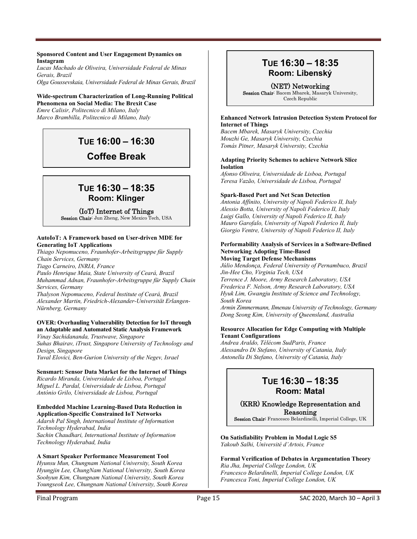#### **Sponsored Content and User Engagement Dynamics on Instagram**

*Lucas Machado de Oliveira, Universidade Federal de Minas Gerais, Brazil Olga Goussevskaia, Universidade Federal de Minas Gerais, Brazil* 

### **Wide-spectrum Characterization of Long-Running Political Phenomena on Social Media: The Brexit Case**

*Emre Calisir, Politecnico di Milano, Italy Marco Brambilla, Politecnico di Milano, Italy* 

## **TUE 16:00 – 16:30**

## **Coffee Break**

### **TUE 16:30 – 18:35 Room: Klinger**

### (IoT) Internet of Things

Session Chair: Jun Zheng, New Mexico Tech, USA

### **AutoIoT: A Framework based on User-driven MDE for Generating IoT Applications**

*Thiago Nepomuceno, Fraunhofer-Arbeitsgruppe für Supply Chain Services, Germany* 

*Tiago Carneiro, INRIA, France Paulo Henrique Maia, State University of Ceará, Brazil Muhammad Adnan, Fraunhofer-Arbeitsgruppe für Supply Chain* 

*Services, Germany Thalyson Nepomuceno, Federal Institute of Ceará, Brazil Alexander Martin, Friedrich-Alexander-Universität Erlangen-Nürnberg, Germany* 

### **OVER: Overhauling Vulnerability Detection for IoT through an Adaptable and Automated Static Analysis Framework**

*Vinay Sachidananda, Trustwave, Singapore Suhas Bhairav, iTrust, Singapore University of Technology and Design, Singapore* 

*Yuval Elovici, Ben-Gurion University of the Negev, Israel* 

### **Sensmart: Sensor Data Market for the Internet of Things**

*Ricardo Miranda, Universidade de Lisboa, Portugal Miguel L. Pardal, Universidade de Lisboa, Portugal António Grilo, Universidade de Lisboa, Portugal* 

### **Embedded Machine Learning-Based Data Reduction in Application-Specific Constrained IoT Networks**

*Adarsh Pal Singh, International Institute of Information Technology Hyderabad, India Sachin Chaudhari, International Institute of Information Technology Hyderabad, India* 

### **A Smart Speaker Performance Measurement Tool**

*Hyunsu Mun, Chungnam National University, South Korea Hyungjin Lee, ChungNam National University, South Korea Soohyun Kim, Chungnam National University, South Korea Youngseok Lee, Chungnam National University, South Korea* 

### **TUE 16:30 – 18:35 Room: Libenský**

(NET) Networking Session Chair: Bacem Mbarek, Masaryk University, Czech Republic

### **Enhanced Network Intrusion Detection System Protocol for Internet of Things**

*Bacem Mbarek, Masaryk University, Czechia Mouzhi Ge, Masaryk University, Czechia Tomás Pitner, Masaryk University, Czechia* 

### **Adapting Priority Schemes to achieve Network Slice Isolation**

*Afonso Oliveira, Universidade de Lisboa, Portugal Teresa Vazão, Universidade de Lisboa, Portugal* 

### **Spark-Based Port and Net Scan Detection**

*Antonia Affinito, University of Napoli Federico II, Italy Alessio Botta, University of Napoli Federico II, Italy Luigi Gallo, University of Napoli Federico II, Italy Mauro Garofalo, University of Napoli Federico II, Italy Giorgio Ventre, University of Napoli Federico II, Italy* 

### **Performability Analysis of Services in a Software-Defined Networking Adopting Time-Based**

**Moving Target Defense Mechanisms**  *Júlio Mendonça, Federal University of Pernambuco, Brazil Jin-Hee Cho, Virginia Tech, USA Terrence J. Moore, Army Research Laboratory, USA Frederica F. Nelson, Army Research Laboratory, USA Hyuk Lim, Gwangju Institute of Science and Technology, South Korea* 

*Armin Zimmermann, Ilmenau University of Technology, Germany Dong Seong Kim, University of Queensland, Australia* 

### **Resource Allocation for Edge Computing with Multiple Tenant Configurations**

*Andrea Araldo, Télécom SudParis, France Alessandro Di Stefano, University of Catania, Italy Antonella Di Stefano, University of Catania, Italy* 

### **TUE 16:30 – 18:35 Room: Matal**

### (KRR) Knowledge Representation and Reasoning

Session Chair: Francesco Belardinelli, Imperial College, UK

#### **On Satisfiability Problem in Modal Logic S5**  *Yakoub Salhi, Université d'Artois, France*

### **Formal Verification of Debates in Argumentation Theory**

*Ria Jha, Imperial College London, UK Francesco Belardinelli, Imperial College London, UK Francesca Toni, Imperial College London, UK*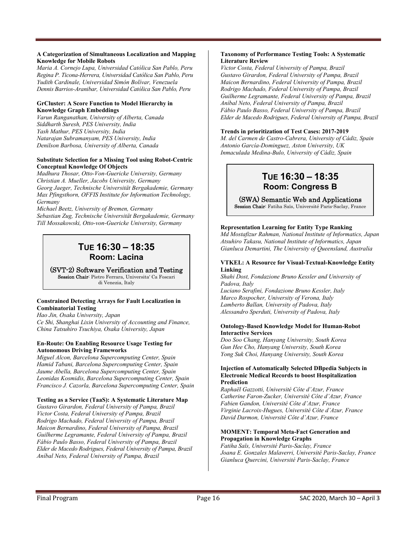#### **A Categorization of Simultaneous Localization and Mapping Knowledge for Mobile Robots**

*Maria A. Cornejo Lupa, Universidad Católica San Pablo, Peru Regina P. Ticona-Herrera, Universidad Católica San Pablo, Peru Yudith Cardinale, Universidad Simón Bolívar, Venezuela Dennis Barrios-Aranibar, Universidad Católica San Pablo, Peru* 

### **GrCluster: A Score Function to Model Hierarchy in Knowledge Graph Embeddings**

*Varun Ranganathan, University of Alberta, Canada Siddharth Suresh, PES University, India Yash Mathur, PES University, India Natarajan Subramanyam, PES University, India Denilson Barbosa, University of Alberta, Canada* 

### **Substitute Selection for a Missing Tool using Robot-Centric Conceptual Knowledge Of Objects**

*Madhura Thosar, Otto-Von-Guericke University, Germany Christian A. Mueller, Jacobs University, Germany Georg Jaeger, Technische Universität Bergakademie, Germany Max Pfingsthorn, OFFIS Institute for Information Technology, Germany* 

*Michael Beetz, University of Bremen, Germany Sebastian Zug, Technische Universität Bergakademie, Germany Till Mossakowski, Otto-von-Guericke University, Germany* 

### **TUE 16:30 – 18:35 Room: Lacina**

(SVT-2) Software Verification and Testing Session Chair: Pietro Ferrara, Universita' Ca Foscari di Venezia, Italy

### **Constrained Detecting Arrays for Fault Localization in Combinatorial Testing**

*Hao Jin, Osaka University, Japan Ce Shi, Shanghai Lixin University of Accounting and Finance, China Tatsuhiro Tsuchiya, Osaka University, Japan* 

### **En-Route: On Enabling Resource Usage Testing for Autonomous Driving Frameworks**

*Miguel Alcon, Barcelona Supercomputing Center, Spain Hamid Tabani, Barcelona Supercomputing Center, Spain Jaume Abella, Barcelona Supercomputing Center, Spain Leonidas Kosmidis, Barcelona Supercomputing Center, Spain Francisco J. Cazorla, Barcelona Supercomputing Center, Spain* 

### **Testing as a Service (TaaS): A Systematic Literature Map**

*Gustavo Girardon, Federal University of Pampa, Brazil Victor Costa, Federal University of Pampa, Brazil Rodrigo Machado, Federal University of Pampa, Brazil Maicon Bernardino, Federal University of Pampa, Brazil Guilherme Legramante, Federal University of Pampa, Brazil Fábio Paulo Basso, Federal University of Pampa, Brazil Elder de Macedo Rodrigues, Federal University of Pampa, Brazil Aníbal Neto, Federal University of Pampa, Brazil* 

#### **Taxonomy of Performance Testing Tools: A Systematic Literature Review**

*Victor Costa, Federal University of Pampa, Brazil Gustavo Girardon, Federal University of Pampa, Brazil Maicon Bernardino, Federal University of Pampa, Brazil Rodrigo Machado, Federal University of Pampa, Brazil Guilherme Legramante, Federal University of Pampa, Brazil Aníbal Neto, Federal University of Pampa, Brazil Fábio Paulo Basso, Federal University of Pampa, Brazil Elder de Macedo Rodrigues, Federal University of Pampa, Brazil* 

### **Trends in prioritization of Test Cases: 2017-2019**

*M. del Carmen de Castro-Cabrera, University of Cádiz, Spain Antonio García-Dominguez, Aston University, UK Inmaculada Medina-Bulo, University of Cádiz, Spain*

### **TUE 16:30 – 18:35 Room: Congress B**

### (SWA) Semantic Web and Applications

Session Chair: Fatiha Saïs, Université Paris-Saclay, France

### **Representation Learning for Entity Type Ranking**

*Md Mostafizur Rahman, National Institute of Informatics, Japan Atsuhiro Takasu, National Institute of Informatics, Japan Gianluca Demartini, The University of Queensland, Australia* 

### **VTKEL: A Resource for Visual-Textual-Knowledge Entity Linking**

*Shahi Dost, Fondazione Bruno Kessler and University of Padova, Italy* 

*Luciano Serafini, Fondazione Bruno Kessler, Italy Marco Rospocher, University of Verona, Italy Lamberto Ballan, University of Padova, Italy Alessandro Sperduti, University of Padova, Italy* 

#### **Ontology-Based Knowledge Model for Human-Robot Interactive Services**

*Doo Soo Chang, Hanyang University, South Korea Gun Hee Cho, Hanyang University, South Korea Yong Suk Choi, Hanyang University, South Korea* 

#### **Injection of Automatically Selected DBpedia Subjects in Electronic Medical Records to boost Hospitalization Prediction**

*Raphaël Gazzotti, Université Côte d'Azur, France Catherine Faron-Zucker, Université Côte d'Azur, France Fabien Gandon, Université Côte d'Azur, France Virginie Lacroix-Hugues, Université Côte d'Azur, France David Darmon, Université Côte d'Azur, France* 

### **MOMENT: Temporal Meta-Fact Generation and Propagation in Knowledge Graphs**

*Fatiha Saïs, Université Paris-Saclay, France Joana E. Gonzales Malaverri, Université Paris-Saclay, France Gianluca Quercini, Université Paris-Saclay, France*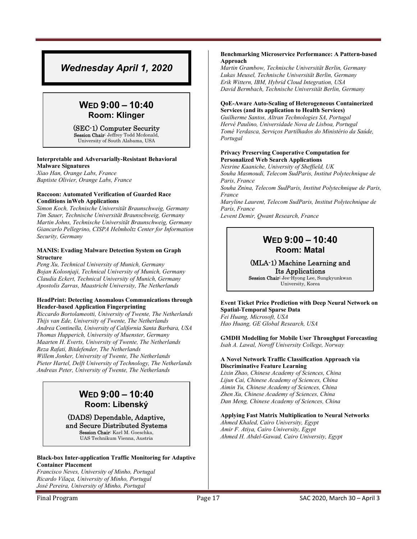### *Wednesday April 1, 2020*

### **WED 9:00 – 10:40 Room: Klinger**

#### (SEC-1) Computer Security Session Chair: Jeffrey Todd Mcdonald,

University of South Alabama, USA

### **Interpretable and Adversarially-Resistant Behavioral Malware Signatures**

*Xiao Han, Orange Labs, France Baptiste Olivier, Orange Labs, France* 

### **Raccoon: Automated Verification of Guarded Race Conditions inWeb Applications**

*Simon Koch, Technische Universität Braunschweig, Germany Tim Sauer, Technische Universität Braunschweig, Germany Martin Johns, Technische Universität Braunschweig, Germany Giancarlo Pellegrino, CISPA Helmholtz Center for Information Security, Germany* 

#### **MANIS: Evading Malware Detection System on Graph Structure**

*Peng Xu, Technical University of Munich, Germany Bojan Kolosnjaji, Technical University of Munich, Germany Claudia Eckert, Technical University of Munich, Germany Apostolis Zarras, Maastricht University, The Netherlands*

#### **HeadPrint: Detecting Anomalous Communications through Header-based Application Fingerprinting**

*Riccardo Bortolameotti, University of Twente, The Netherlands Thijs van Ede, University of Twente, The Netherlands Andrea Continella, University of California Santa Barbara, USA Thomas Hupperich, University of Muenster, Germany Maarten H. Everts, University of Twente, The Netherlands Reza Rafati, Bitdefender, The Netherlands Willem Jonker, University of Twente, The Netherlands Pieter Hartel, Delft University of Technology, The Netherlands Andreas Peter, University of Twente, The Netherlands* 

### **WED 9:00 – 10:40 Room: Libenský**

#### (DADS) Dependable, Adaptive, and Secure Distributed Systems Session Chair: Karl M. Goeschka, UAS Technikum Vienna, Austria

**Black-box Inter-application Traffic Monitoring for Adaptive Container Placement** 

*Francisco Neves, University of Minho, Portugal Ricardo Vilaça, University of Minho, Portugal José Pereira, University of Minho, Portugal* 

#### **Benchmarking Microservice Performance: A Pattern-based Approach**

*Martin Grambow, Technische Universität Berlin, Germany Lukas Meusel, Technische Universität Berlin, Germany Erik Wittern, IBM, Hybrid Cloud Integration, USA David Bermbach, Technische Universität Berlin, Germany* 

### **QoE-Aware Auto-Scaling of Heterogeneous Containerized Services (and its application to Health Services)**

*Guilherme Santos, Altran Technologies SA, Portugal Hervé Paulino, Universidade Nova de Lisboa, Portugal Tomé Verdasca, Serviços Partilhados do Ministério da Saúde, Portugal* 

#### **Privacy Preserving Cooperative Computation for Personalized Web Search Applications**

*Nesrine Kaaniche, University of Sheffield, UK Souha Masmoudi, Telecom SudParis, Institut Polytechnique de Paris, France Souha Znina, Telecom SudParis, Institut Polytechnique de Paris, France Maryline Laurent, Telecom SudParis, Institut Polytechnique de Paris, France Levent Demir, Qwant Research, France* 

### **WED 9:00 – 10:40 Room: Matal**

### (MLA-1) Machine Learning and

Its Applications Session Chair: Jee-Hyong Lee, Sungkyunkwan University, Korea

**Event Ticket Price Prediction with Deep Neural Network on Spatial-Temporal Sparse Data**  *Fei Huang, Microsoft, USA Hao Huang, GE Global Research, USA* 

**GMDH Modelling for Mobile User Throughput Forecasting**  *Isah A. Lawal, Noroff University College, Norway* 

### **A Novel Network Traffic Classification Approach via Discriminative Feature Learning**

*Lixin Zhao, Chinese Academy of Sciences, China Lijun Cai, Chinese Academy of Sciences, China Aimin Yu, Chinese Academy of Sciences, China Zhen Xu, Chinese Academy of Sciences, China Dan Meng, Chinese Academy of Sciences, China* 

### **Applying Fast Matrix Multiplication to Neural Networks**

*Ahmed Khaled, Cairo University, Egypt Amir F. Atiya, Cairo University, Egypt Ahmed H. Abdel-Gawad, Cairo University, Egypt*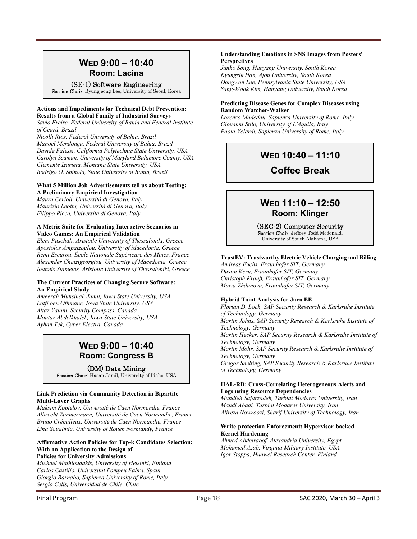### **WED 9:00 – 10:40 Room: Lacina**

(SE-1) Software Engineering Session Chair: Byungjeong Lee, University of Seoul, Korea

### **Actions and Impediments for Technical Debt Prevention: Results from a Global Family of Industrial Surveys**

*Sávio Freire, Federal University of Bahia and Federal Institute of Ceará, Brazil* 

*Nicolli Rios, Federal University of Bahia, Brazil Manoel Mendonça, Federal University of Bahia, Brazil Davide Falessi, California Polytechnic State University, USA Carolyn Seaman, University of Maryland Baltimore County, USA Clemente Izurieta, Montana State University, USA Rodrigo O. Spínola, State University of Bahia, Brazil* 

### **What 5 Million Job Advertisements tell us about Testing: A Preliminary Empirical Investigation**

*Maura Cerioli, Università di Genova, Italy Maurizio Leotta, Università di Genova, Italy Filippo Ricca, Università di Genova, Italy* 

### **A Metric Suite for Evaluating Interactive Scenarios in Video Games: An Empirical Validation**

*Eleni Paschali, Aristotle University of Thessaloniki, Greece Apostolos Ampatzoglou, University of Macedonia, Greece Remi Escurou, École Nationale Supérieure des Mines, France Alexander Chatzigeorgiou, University of Macedonia, Greece Ioannis Stamelos, Aristotle University of Thessaloniki, Greece* 

### **The Current Practices of Changing Secure Software: An Empirical Study**

*Ameerah Muhsinah Jamil, Iowa State University, USA Lotfi ben Othmane, Iowa State University, USA Altaz Valani, Security Compass, Canada Moataz Abdelkhalek, Iowa State University, USA Ayhan Tek, Cyber Electra, Canada* 

### **WED 9:00 – 10:40 Room: Congress B**

(DM) Data Mining

Session Chair: Hasan Jamil, University of Idaho, USA

### **Link Prediction via Community Detection in Bipartite Multi-Layer Graphs**

*Maksim Koptelov, Université de Caen Normandie, France Albrecht Zimmermann, Université de Caen Normandie, France Bruno Crémilleux, Université de Caen Normandie, France Lina Soualmia, University of Rouen Normandy, France* 

#### **Affirmative Action Policies for Top-k Candidates Selection: With an Application to the Design of Policies for University Admissions**

*Michael Mathioudakis, University of Helsinki, Finland Carlos Castillo, Universitat Pompeu Fabra, Spain Giorgio Barnabo, Sapienza University of Rome, Italy Sergio Celis, Universidad de Chile, Chile* 

**Understanding Emotions in SNS Images from Posters' Perspectives** 

*Junho Song, Hanyang University, South Korea Kyungsik Han, Ajou University, South Korea Dongwon Lee, Pennsylvania State University, USA Sang-Wook Kim, Hanyang University, South Korea* 

### **Predicting Disease Genes for Complex Diseases using Random Watcher-Walker**

*Lorenzo Madeddu, Sapienza University of Rome, Italy Giovanni Stilo, University of L'Aquila, Italy Paola Velardi, Sapienza University of Rome, Italy*

## **WED 10:40 – 11:10**

### **Coffee Break**

### **WED 11:10 – 12:50 Room: Klinger**

(SEC-2) Computer Security

Session Chair: Jeffrey Todd Mcdonald, University of South Alabama, USA

### **TrustEV: Trustworthy Electric Vehicle Charging and Billing**

*Andreas Fuchs, Fraunhofer SIT, Germany Dustin Kern, Fraunhofer SIT, Germany Christoph Krauß, Fraunhofer SIT, Germany Maria Zhdanova, Fraunhofer SIT, Germany* 

### **Hybrid Taint Analysis for Java EE**

*Florian D. Loch, SAP Security Research & Karlsruhe Institute of Technology, Germany Martin Johns, SAP Security Research & Karlsruhe Institute of Technology, Germany Martin Hecker, SAP Security Research & Karlsruhe Institute of Technology, Germany Martin Mohr, SAP Security Research & Karlsruhe Institute of Technology, Germany Gregor Snelting, SAP Security Research & Karlsruhe Institute of Technology, Germany* 

#### **HAL-RD: Cross-Correlating Heterogeneous Alerts and Logs using Resource Dependencies**

*Mahdieh Safarzadeh, Tarbiat Modares University, Iran Mahdi Abadi, Tarbiat Modares University, Iran Alireza Nowroozi, Sharif University of Technology, Iran* 

### **Write-protection Enforcement: Hypervisor-backed Kernel Hardening**

*Ahmed Abdelraoof, Alexandria University, Egypt Mohamed Azab, Virginia Military Institute, USA Igor Stoppa, Huawei Research Center, Finland*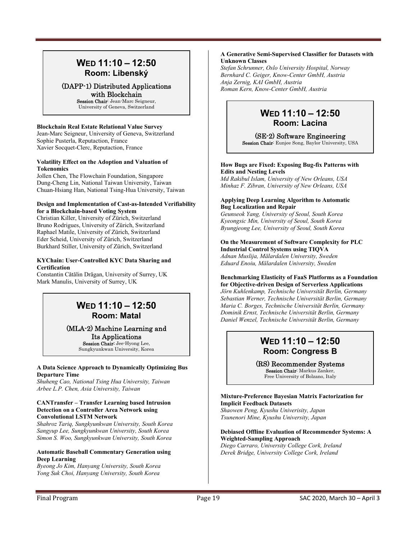### **WED 11:10 – 12:50 Room: Libenský**

### (DAPP-1) Distributed Applications with Blockchain

Session Chair: Jean-Marc Seigneur, University of Geneva, Switzerland

### **Blockchain Real Estate Relational Value Survey**

Jean-Marc Seigneur, University of Geneva, Switzerland Sophie Pusterla, Reputaction, France Xavier Socquet-Clerc, Reputaction, France

#### **Volatility Effect on the Adoption and Valuation of Tokenomics**

Jollen Chen, The Flowchain Foundation, Singapore Dung-Cheng Lin, National Taiwan University, Taiwan Chuan-Hsiang Han, National Tsing-Hua University, Taiwan

#### **Design and Implementation of Cast-as-Intended Verifiability for a Blockchain-based Voting System**

Christian Killer, University of Zürich, Switzerland Bruno Rodrigues, University of Zürich, Switzerland Raphael Matile, University of Zürich, Switzerland Eder Scheid, University of Zürich, Switzerland Burkhard Stiller, University of Zürich, Switzerland

### **KYChain: User-Controlled KYC Data Sharing and Certification**

Constantin Cătălin Drăgan, University of Surrey, UK Mark Manulis, University of Surrey, UK

### **WED 11:10 – 12:50 Room: Matal**

### (MLA-2) Machine Learning and Its Applications

Session Chair: Jee-Hyong Lee, Sungkyunkwan University, Korea

### **A Data Science Approach to Dynamically Optimizing Bus Departure Time**

*Shuheng Cao, National Tsing Hua University, Taiwan Arbee L.P. Chen, Asia University, Taiwan* 

#### **CANTransfer – Transfer Learning based Intrusion Detection on a Controller Area Network using Convolutional LSTM Network**

*Shahroz Tariq, Sungkyunkwan University, South Korea Sangyup Lee, Sungkyunkwan University, South Korea Simon S. Woo, Sungkyunkwan University, South Korea* 

#### **Automatic Baseball Commentary Generation using Deep Learning**

*Byeong Jo Kim, Hanyang University, South Korea Yong Suk Choi, Hanyang University, South Korea* 

### **A Generative Semi-Supervised Classifier for Datasets with Unknown Classes**

*Stefan Schrunner, Oslo University Hospital, Norway Bernhard C. Geiger, Know-Center GmbH, Austria Anja Zernig, KAI GmbH, Austria Roman Kern, Know-Center GmbH, Austria*

### **WED 11:10 – 12:50 Room: Lacina**

(SE-2) Software Engineering

Session Chair: Eunjee Song, Baylor University, USA

### **How Bugs are Fixed: Exposing Bug-fix Patterns with Edits and Nesting Levels**

*Md Rakibul Islam, University of New Orleans, USA Minhaz F. Zibran, University of New Orleans, USA* 

### **Applying Deep Learning Algorithm to Automatic Bug Localization and Repair**

*Geunseok Yang, University of Seoul, South Korea Kyeongsic Min, University of Seoul, South Korea Byungjeong Lee, University of Seoul, South Korea* 

#### **On the Measurement of Software Complexity for PLC Industrial Control Systems using TIQVA**

*Adnan Muslija, Mälardalen University, Sweden Eduard Enoiu, Mälardalen University, Sweden* 

### **Benchmarking Elasticity of FaaS Platforms as a Foundation**

**for Objective-driven Design of Serverless Applications**  *Jörn Kuhlenkamp, Technische Universität Berlin, Germany Sebastian Werner, Technische Universität Berlin, Germany Maria C. Borges, Technische Universität Berlin, Germany Dominik Ernst, Technische Universität Berlin, Germany Daniel Wenzel, Technische Universität Berlin, Germany* 

### **WED 11:10 – 12:50 Room: Congress B**

(RS) Recommender Systems Session Chair: Markus Zanker, Free University of Bolzano, Italy

**Mixture-Preference Bayesian Matrix Factorization for Implicit Feedback Datasets**  *Shaowen Peng, Kyushu Univerisity, Japan Tsunenori Mine, Kyushu University, Japan* 

**Debiased Offline Evaluation of Recommender Systems: A Weighted-Sampling Approach**  *Diego Carraro, University College Cork, Ireland Derek Bridge, University College Cork, Ireland*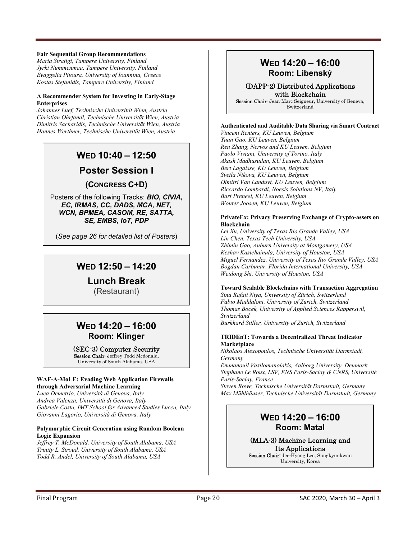### **Fair Sequential Group Recommendations**

*Maria Stratigi, Tampere University, Finland Jyrki Nummenmaa, Tampere University, Finland Evaggelia Pitoura, University of Ioannina, Greece Kostas Stefanidis, Tampere University, Finland* 

#### **A Recommender System for Investing in Early-Stage Enterprises**

*Johannes Luef, Technische Universität Wien, Austria Christian Ohrfandl, Technische Universität Wien, Austria Dimitris Sacharidis, Technische Universität Wien, Austria Hannes Werthner, Technische Universität Wien, Austria*

### **WED 10:40 – 12:50**

**Poster Session I** 

### **(CONGRESS C+D)**

Posters of the following Tracks: *BIO, CIVIA, EC, IRMAS, CC, DADS, MCA, NET, WCN, BPMEA, CASOM, RE, SATTA, SE, EMBS, IoT, PDP* 

(*See page 26 for detailed list of Posters*)

### **WED 12:50 – 14:20**

### **Lunch Break**

(Restaurant)

### **WED 14:20 – 16:00 Room: Klinger**

#### (SEC-3) Computer Security Session Chair: Jeffrey Todd Mcdonald,

University of South Alabama, USA

### **WAF-A-MoLE: Evading Web Application Firewalls through Adversarial Machine Learning**

*Luca Demetrio, Università di Genova, Italy Andrea Valenza, Università di Genova, Italy Gabriele Costa, IMT School for Advanced Studies Lucca, Italy Giovanni Lagorio, Università di Genova, Italy* 

#### **Polymorphic Circuit Generation using Random Boolean Logic Expansion**

*Jeffrey T. McDonald, University of South Alabama, USA Trinity L. Stroud, University of South Alabama, USA Todd R. Andel, University of South Alabama, USA*

### **WED 14:20 – 16:00 Room: Libenský**

### (DAPP-2) Distributed Applications with Blockchain

Session Chair: Jean-Marc Seigneur, University of Geneva, Switzerland

### **Authenticated and Auditable Data Sharing via Smart Contract**

*Vincent Reniers, KU Leuven, Belgium Yuan Gao, KU Leuven, Belgium Ren Zhang, Nervos and KU Leuven, Belgium Paolo Viviani, University of Torino, Italy Akash Madhusudan, KU Leuven, Belgium Bert Lagaisse, KU Leuven, Belgium Svetla Nikova, KU Leuven, Belgium Dimitri Van Landuyt, KU Leuven, Belgium Riccardo Lombardi, Noesis Solutions NV, Italy Bart Preneel, KU Leuven, Belgium Wouter Joosen, KU Leuven, Belgium* 

### **PrivateEx: Privacy Preserving Exchange of Crypto-assets on Blockchain**

*Lei Xu, University of Texas Rio Grande Valley, USA Lin Chen, Texas Tech University, USA Zhimin Gao, Auburn University at Montgomery, USA Keshav Kasichainula, University of Houston, USA Miguel Fernandez, University of Texas Rio Grande Valley, USA Bogdan Carbunar, Florida International University, USA Weidong Shi, University of Houston, USA* 

### **Toward Scalable Blockchains with Transaction Aggregation**

*Sina Rafati Niya, University of Zürich, Switzerland Fabio Maddaloni, University of Zürich, Switzerland Thomas Bocek, University of Applied Sciences Rapperswil, Switzerland* 

*Burkhard Stiller, University of Zürich, Switzerland* 

#### **TRIDEnT: Towards a Decentralized Threat Indicator Marketplace**

*Nikolaos Alexopoulos, Technische Universität Darmstadt, Germany* 

*Emmanouil Vasilomanolakis, Aalborg University, Denmark Stephane Le Roux, LSV, ENS Paris-Saclay & CNRS, Université Paris-Saclay, France* 

*Steven Rowe, Technische Universität Darmstadt, Germany Max Mühlhäuser, Technische Universität Darmstadt, Germany*

### **WED 14:20 – 16:00 Room: Matal**

(MLA-3) Machine Learning and Its Applications

Session Chair: Jee-Hyong Lee, Sungkyunkwan University, Korea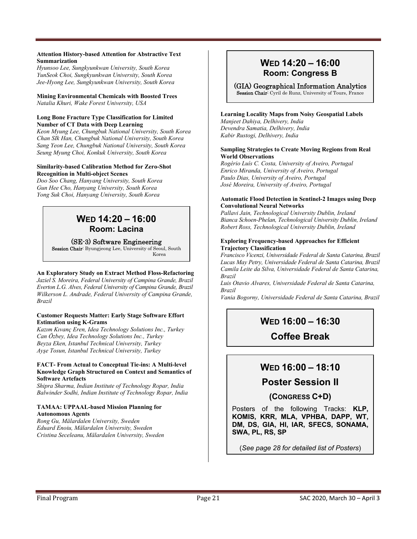#### **Attention History-based Attention for Abstractive Text Summarization**

*Hyunsoo Lee, Sungkyunkwan University, South Korea YunSeok Choi, Sungkyunkwan University, South Korea Jee-Hyong Lee, Sungkyunkwan University, South Korea* 

**Mining Environmental Chemicals with Boosted Trees**  *Natalia Khuri, Wake Forest University, USA* 

### **Long Bone Fracture Type Classification for Limited Number of CT Data with Deep Learning**

*Keon Myung Lee, Chungbuk National University, South Korea Chan SIk Han, Chungbuk National University, South Korea Sang Yeon Lee, Chungbuk National University, South Korea Seung Myung Choi, Konkuk University, South Korea* 

#### **Similarity-based Calibration Method for Zero-Shot Recognition in Multi-object Scenes**

*Doo Soo Chang, Hanyang University, South Korea Gun Hee Cho, Hanyang University, South Korea Yong Suk Choi, Hanyang University, South Korea* 

### **WED 14:20 – 16:00 Room: Lacina**

### (SE-3) Software Engineering

Session Chair: Byungjeong Lee, University of Seoul, South Korea

### **An Exploratory Study on Extract Method Floss-Refactoring**

*Jaziel S. Moreira, Federal University of Campina Grande, Brazil Everton L.G. Alves, Federal University of Campina Grande, Brazil Wilkerson L. Andrade, Federal University of Campina Grande, Brazil* 

#### **Customer Requests Matter: Early Stage Software Effort Estimation using K-Grams**

*Kazım Kıvanç Eren, Idea Technology Solutions Inc., Turkey Can Özbey, Idea Technology Solutions Inc., Turkey Beyza Eken, Istanbul Technical University, Turkey Ayşe Tosun, Istanbul Technical University, Turkey* 

#### **FACT- From Actual to Conceptual Tie-ins: A Multi-level Knowledge Graph Structured on Context and Semantics of Software Artefacts**

*Shipra Sharma, Indian Institute of Technology Ropar, India Balwinder Sodhi, Indian Institute of Technology Ropar, India* 

### **TAMAA: UPPAAL-based Mission Planning for Autonomous Agents**

*Rong Gu, Mälardalen University, Sweden Eduard Enoiu, Mälardalen University, Sweden Cristina Seceleanu, Mälardalen University, Sweden* 

### **WED 14:20 – 16:00 Room: Congress B**

### (GIA) Geographical Information Analytics

Session Chair: Cyril de Runz, University of Tours, France

### **Learning Locality Maps from Noisy Geospatial Labels**

*Manjeet Dahiya, Delhivery, India Devendra Samatia, Delhivery, India Kabir Rustogi, Delhivery, India* 

#### **Sampling Strategies to Create Moving Regions from Real World Observations**

*Rogério Luís C. Costa, University of Aveiro, Portugal Enrico Miranda, University of Aveiro, Portugal Paulo Dias, University of Aveiro, Portugal José Moreira, University of Aveiro, Portugal* 

#### **Automatic Flood Detection in Sentinel-2 Images using Deep Convolutional Neural Networks**

*Pallavi Jain, Technological University Dublin, Ireland Bianca Schoen-Phelan, Technological University Dublin, Ireland Robert Ross, Technological University Dublin, Ireland* 

### **Exploring Frequency-based Approaches for Efficient Trajectory Classification**

*Francisco Vicenzi, Universidade Federal de Santa Catarina, Brazil Lucas May Petry, Universidade Federal de Santa Catarina, Brazil Camila Leite da Silva, Universidade Federal de Santa Catarina, Brazil* 

*Luis Otavio Alvares, Universidade Federal de Santa Catarina, Brazil* 

*Vania Bogorny, Universidade Federal de Santa Catarina, Brazil*

### **WED 16:00 – 16:30**

### **Coffee Break**

### **WED 16:00 – 18:10**

### **Poster Session II**

**(CONGRESS C+D)** 

Posters of the following Tracks: **KLP, KOMIS, KRR, MLA, VPHBA, DAPP, WT, DM, DS, GIA, HI, IAR, SFECS, SONAMA, SWA, PL, RS, SP** 

(*See page 28 for detailed list of Posters*)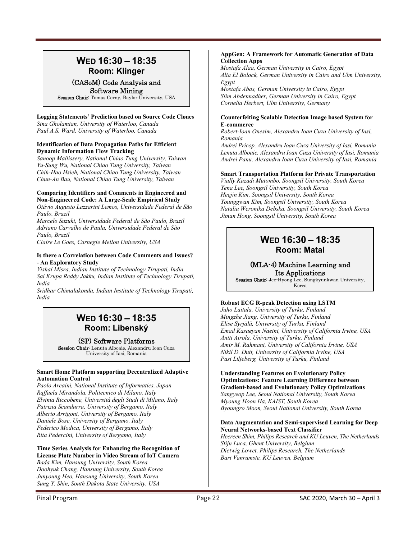### **WED 16:30 – 18:35 Room: Klinger**

### (CASoM) Code Analysis and Software Mining

Session Chair: Tomas Cerny, Baylor University, USA

### **Logging Statements' Prediction based on Source Code Clones**

*Sina Gholamian, University of Waterloo, Canada Paul A.S. Ward, University of Waterloo, Canada* 

### **Identification of Data Propagation Paths for Efficient Dynamic Information Flow Tracking**

*Sanoop Mallissery, National Chiao Tung University, Taiwan Yu-Sung Wu, National Chiao Tung University, Taiwan Chih-Hao Hsieh, National Chiao Tung University, Taiwan Chun-An Bau, National Chiao Tung University, Taiwan* 

#### **Comparing Identifiers and Comments in Engineered and Non-Engineered Code: A Large-Scale Empirical Study**

*Otávio Augusto Lazzarini Lemos, Universidade Federal de São Paulo, Brazil* 

*Marcelo Suzuki, Universidade Federal de São Paulo, Brazil Adriano Carvalho de Paula, Universidade Federal de São Paulo, Brazil* 

*Claire Le Goes, Carnegie Mellon University, USA* 

### **Is there a Correlation between Code Comments and Issues? - An Exploratory Study**

*Vishal Misra, Indian Institute of Technology Tirupati, India Sai Krupa Reddy Jakku, Indian Institute of Technology Tirupati, India* 

*Sridhar Chimalakonda, Indian Institute of Technology Tirupati, India*

### **WED 16:30 – 18:35 Room: Libenský**

### (SP) Software Platforms

Session Chair: Lenuta Alboaie, Alexandru Ioan Cuza University of Iasi, Romania

### **Smart Home Platform supporting Decentralized Adaptive Automation Control**

*Paolo Arcaini, National Institute of Informatics, Japan Raffaela Mirandola, Politecnico di Milano, Italy Elvinia Riccobene, Università degli Studi di Milano, Italy Patrizia Scandurra, University of Bergamo, Italy Alberto Arrigoni, University of Bergamo, Italy Daniele Bosc, University of Bergamo, Italy Federico Modica, University of Bergamo, Italy Rita Pedercini, University of Bergamo, Italy* 

#### **Time Series Analysis for Enhancing the Recognition of License Plate Number in Video Stream of IoT Camera**  *Bada Kim, Hansung University, South Korea Doohyuk Chang, Hansung University, South Korea Junyoung Heo, Hansung University, South Korea Sung Y. Shin, South Dakota State University, USA*

#### **AppGen: A Framework for Automatic Generation of Data Collection Apps**

*Mostafa Alaa, German University in Cairo, Egypt Alia El Bolock, German University in Cairo and Ulm University, Egypt* 

*Mostafa Abas, German University in Cairo, Egypt Slim Abdennadher, German University in Cairo, Egypt Cornelia Herbert, Ulm University, Germany* 

### **Counterfeiting Scalable Detection Image based System for E-commerce**

*Robert-Ioan Onesim, Alexandru Ioan Cuza University of Iasi, Romania* 

*Andrei Pricop, Alexandru Ioan Cuza University of Iasi, Romania Lenuta Alboaie, Alexandru Ioan Cuza University of Iasi, Romania Andrei Panu, Alexandru Ioan Cuza University of Iasi, Romania* 

### **Smart Transportation Platform for Private Transportation**

*Vially Kazadi Mutombo, Soongsil University, South Korea Yena Lee, Soongsil University, South Korea Heejin Kim, Soongsil University, South Korea Younggwan Kim, Soongsil University, South Korea Natalia Weronika Debska, Soongsil University, South Korea Jiman Hong, Soongsil University, South Korea*

### **WED 16:30 – 18:35 Room: Matal**

### (MLA-4) Machine Learning and

Its Applications Session Chair: Jee-Hyong Lee, Sungkyunkwan University, Korea

### **Robust ECG R-peak Detection using LSTM**

*Juho Laitala, University of Turku, Finland Mingzhe Jiang, University of Turku, Finland Elise Syrjälä, University of Turku, Finland Emad Kasaeyan Naeini, University of California Irvine, USA Antti Airola, University of Turku, Finland Amir M. Rahmani, University of California Irvine, USA Nikil D. Dutt, University of California Irvine, USA Pasi Liljeberg, University of Turku, Finland* 

**Understanding Features on Evolutionary Policy Optimizations: Feature Learning Difference between Gradient-based and Evolutionary Policy Optimizations**  *Sangyeop Lee, Seoul National University, South Korea Myoung Hoon Ha, KAIST, South Korea Byoungro Moon, Seoul National University, South Korea* 

#### **Data Augmentation and Semi-supervised Learning for Deep Neural Networks-based Text Classifier**

*Heereen Shim, Philips Research and KU Leuven, The Netherlands Stijn Luca, Ghent University, Belgium Dietwig Lowet, Philips Research, The Netherlands Bart Vanrumste, KU Leuven, Belgium*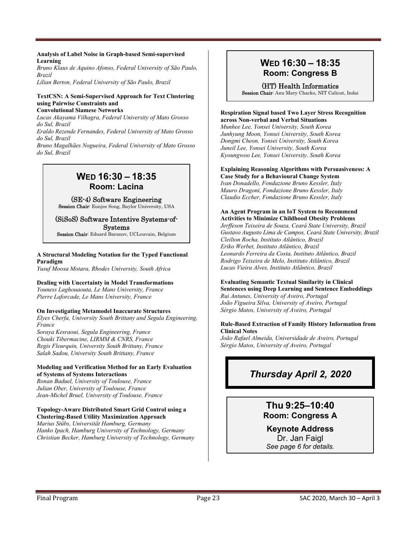### **Analysis of Label Noise in Graph-based Semi-supervised Learning**

*Bruno Klaus de Aquino Afonso, Federal University of São Paulo, Brazil Lilian Berton, Federal University of São Paulo, Brazil* 

**TextCSN: A Semi-Supervised Approach for Text Clustering** 

#### **using Pairwise Constraints and Convolutional Siamese Networks**

*Lucas Akayama Vilhagra, Federal University of Mato Grosso do Sul, Brazil* 

*Eraldo Rezende Fernandes, Federal University of Mato Grosso do Sul, Brazil* 

*Bruno Magalhães Nogueira, Federal University of Mato Grosso do Sul, Brazil* 

### **WED 16:30 – 18:35 Room: Lacina**

(SE-4) Software Engineering

Session Chair: Eunjee Song, Baylor University, USA

#### (SiSoS) Software Intentive Systems-of-Systems

Session Chair: Eduard Baranov, UCLouvain, Belgium

### **A Structural Modeling Notation for the Typed Functional Paradigm**

*Yusuf Moosa Motara, Rhodes University, South Africa* 

### **Dealing with Uncertainty in Model Transformations**

*Youness Laghouaouta, Le Mans University, France Pierre Laforcade, Le Mans University, France* 

### **On Investigating Metamodel Inaccurate Structures**

*Elyes Cherfa, University South Brittany and Segula Engineering, France* 

*Soraya Kesraoui, Segula Engineering, France Chouki Tibermacine, LIRMM & CNRS, France Regis Fleurquin, University South Brittany, France Salah Sadou, University South Brittany, France* 

### **Modeling and Verification Method for an Early Evaluation of Systems of Systems Interactions**

*Ronan Baduel, University of Toulouse, France Julian Ober, University of Toulouse, France Jean-Michel Bruel, University of Toulouse, France* 

#### **Topology-Aware Distributed Smart Grid Control using a Clustering-Based Utility Maximization Approach**

*Marius Stübs, Universität Hamburg, Germany Hanko Ipach, Hamburg University of Technology, Germany Christian Becker, Hamburg University of Technology, Germany* 

### **WED 16:30 – 18:35 Room: Congress B**

(HT) Health Informatics Session Chair: Anu Mary Chacko, NIT Calicut, Indai

#### **Respiration Signal based Two Layer Stress Recognition across Non-verbal and Verbal Situations**

*Munhee Lee, Yonsei University, South Korea Junhyung Moon, Yonsei University, South Korea Dongmi Cheon, Yonsei University, South Korea Juneil Lee, Yonsei University, South Korea Kyoungwoo Lee, Yonsei University, South Korea* 

### **Explaining Reasoning Algorithms with Persuasiveness: A**

**Case Study for a Behavioural Change System**  *Ivan Donadello, Fondazione Bruno Kessler, Italy Mauro Dragoni, Fondazione Bruno Kessler, Italy Claudio Eccher, Fondazione Bruno Kessler, Italy* 

#### **An Agent Program in an IoT System to Recommend Activities to Minimize Childhood Obesity Problems**

*Jerffeson Teixeira de Souza, Ceará State University, Brazil Gustavo Augusto Lima de Campos, Ceará State University, Brazil Cleilton Rocha, Instituto Atlântico, Brazil Eriko Werbet, Instituto Atlântico, Brazil Leonardo Ferreira da Costa, Instituto Atlântico, Brazil Rodrigo Teixeira de Melo, Instituto Atlântico, Brazil Lucas Vieira Alves, Instituto Atlântico, Brazil* 

#### **Evaluating Semantic Textual Similarity in Clinical Sentences using Deep Learning and Sentence Embeddings**  *Rui Antunes, University of Aveiro, Portugal*

*João Figueira Silva, University of Aveiro, Portugal Sérgio Matos, University of Aveiro, Portugal* 

### **Rule-Based Extraction of Family History Information from Clinical Notes**

*João Rafael Almeida, Universidade de Aveiro, Portugal Sérgio Matos, University of Aveiro, Portugal*

### *Thursday April 2, 2020*

### **Thu 9:25–10:40 Room: Congress A**

### **Keynote Address**  Dr. Jan Faigl

*See page 6 for details.*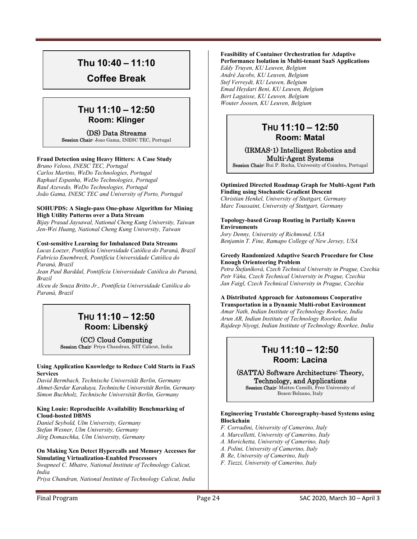### **Thu 10:40 – 11:10**

**Coffee Break** 

### **THU 11:10 – 12:50 Room: Klinger**

### (DS) Data Streams

Session Chair: Joao Gama, INESC TEC, Portugal

### **Fraud Detection using Heavy Hitters: A Case Study**

*Bruno Veloso, INESC TEC, Portugal Carlos Martins, WeDo Technologies, Portugal Raphael Espanha, WeDo Technologies, Portugal Raul Azevedo, WeDo Technologies, Portugal João Gama, INESC TEC and University of Porto, Portugal* 

#### **SOHUPDS: A Single-pass One-phase Algorithm for Mining High Utility Patterns over a Data Stream**

*Bijay Prasad Jaysawal, National Cheng Kung University, Taiwan Jen-Wei Huang, National Cheng Kung University, Taiwan* 

### **Cost-sensitive Learning for Imbalanced Data Streams**

*Lucas Loezer, Pontifícia Universidade Católica do Paraná, Brazil Fabrício Enembreck, Pontifícia Universidade Católica do Paraná, Brazil* 

*Jean Paul Barddal, Pontifícia Universidade Católica do Paraná, Brazil* 

*Alceu de Souza Britto Jr., Pontifícia Universidade Católica do Paraná, Brazil*

### **THU 11:10 – 12:50 Room: Libenský**

### (CC) Cloud Computing

Session Chair: Priya Chandran, NIT Calicut, India

#### **Using Application Knowledge to Reduce Cold Starts in FaaS Services**

*David Bermbach, Technische Universität Berlin, Germany Ahmet-Serdar Karakaya, Technische Universität Berlin, Germany Simon Buchholz, Technische Universität Berlin, Germany* 

#### **King Louie: Reproducible Availability Benchmarking of Cloud-hosted DBMS**

*Daniel Seybold, Ulm University, Germany Stefan Wesner, Ulm University, Germany Jörg Domaschka, Ulm University, Germany* 

#### **On Making Xen Detect Hypercalls and Memory Accesses for Simulating Virtualization-Enabled Processors**

*Swapneel C. Mhatre, National Institute of Technology Calicut, India Priya Chandran, National Institute of Technology Calicut, India* 

### **Feasibility of Container Orchestration for Adaptive**

**Performance Isolation in Multi-tenant SaaS Applications**  *Eddy Truyen, KU Leuven, Belgium André Jacobs, KU Leuven, Belgium Stef Verreydt, KU Leuven, Belgium Emad Heydari Beni, KU Leuven, Belgium Bert Lagaisse, KU Leuven, Belgium Wouter Joosen, KU Leuven, Belgium* 

### **THU 11:10 – 12:50 Room: Matal**

### (IRMAS-1) Intelligent Robotics and Multi-Agent Systems

Session Chair: Rui P. Rocha, University of Coimbra, Portugal

### **Optimized Directed Roadmap Graph for Multi-Agent Path**

**Finding using Stochastic Gradient Descent**  *Christian Henkel, University of Stuttgart, Germany Marc Toussaint, University of Stuttgart, Germany* 

#### **Topology-based Group Routing in Partially Known Environments**

*Jory Denny, University of Richmond, USA Benjamin T. Fine, Ramapo College of New Jersey, USA* 

#### **Greedy Randomized Adaptive Search Procedure for Close Enough Orienteering Problem**

*Petra Štefaníková, Czech Technical University in Prague, Czechia Petr Váňa, Czech Technical University in Prague, Czechia Jan Faigl, Czech Technical University in Prague, Czechia* 

### **A Distributed Approach for Autonomous Cooperative Transportation in a Dynamic Multi-robot Environment**

*Amar Nath, Indian Institute of Technology Roorkee, India Arun AR, Indian Institute of Technology Roorkee, India Rajdeep Niyogi, Indian Institute of Technology Roorkee, India* 

### **THU 11:10 – 12:50 Room: Lacina**

(SATTA) Software Architecture: Theory,

Technology, and Applications

Session Chair: Matteo Camilli, Free University of Bozen-Bolzano, Italy

### **Engineering Trustable Choreography-based Systems using Blockchain**

- *F. Corradini, University of Camerino, Italy*
- *A. Marcelletti, University of Camerino, Italy*
- *A. Morichetta, University of Camerino, Italy*
- *A. Polini, University of Camerino, Italy*
- *B. Re, University of Camerino, Italy*
- *F. Tiezzi, University of Camerino, Italy*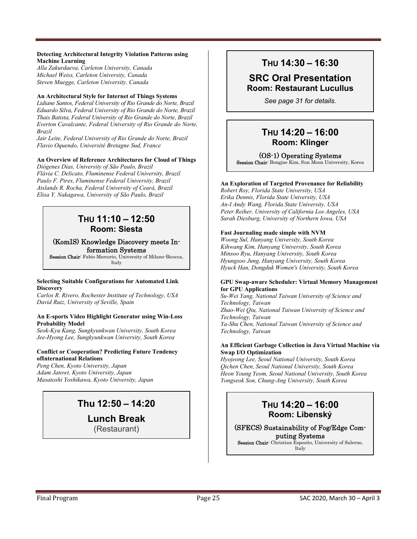### **Detecting Architectural Integrity Violation Patterns using Machine Learning**

*Alla Zakurdaeva, Carleton University, Canada Michael Weiss, Carleton University, Canada Steven Muegge, Carleton University, Canada* 

### **An Architectural Style for Internet of Things Systems**

*Lidiane Santos, Federal University of Rio Grande do Norte, Brazil Eduardo Silva, Federal University of Rio Grande do Norte, Brazil Thais Batista, Federal University of Rio Grande do Norte, Brazil Everton Cavalcante, Federal University of Rio Grande do Norte, Brazil* 

*Jair Leite, Federal University of Rio Grande do Norte, Brazil Flavio Oquendo, Université Bretagne Sud, France* 

### **An Overview of Reference Architectures for Cloud of Things**

*Diógenes Dias, University of São Paulo, Brazil Flávia C. Delicato, Fluminense Federal University, Brazil Paulo F. Pires, Fluminense Federal University, Brazil Atslands R. Rocha, Federal University of Ceará, Brazil Elisa Y. Nakagawa, University of São Paulo, Brazil*

### **THU 11:10 – 12:50 Room: Siesta**

### (KomIS) Knowledge Discovery meets Information Systems

Session Chair: Fabio Mercorio, University of Milano-Bicocca, Italy

#### **Selecting Suitable Configurations for Automated Link Discovery**

*Carlos R. Rivero, Rochester Institute of Technology, USA David Ruiz, University of Seville, Spain* 

#### **An E-sports Video Highlight Generator using Win-Loss Probability Model**

*Seok-Kyu Kang, Sungkyunkwan University, South Korea Jee-Hyong Lee, Sungkyunkwan University, South Korea* 

### **Conflict or Cooperation? Predicting Future Tendency ofInternational Relations**

*Peng Chen, Kyoto University, Japan Adam Jatowt, Kyoto University, Japan Masatoshi Yoshikawa, Kyoto University, Japan* 

### **Thu 12:50 – 14:20**

**Lunch Break** 

(Restaurant)

### **THU 14:30 – 16:30**

### **SRC Oral Presentation Room: Restaurant Lucullus**

*See page 31 for details.*

### **THU 14:20 – 16:00 Room: Klinger**

### (OS-1) Operating Systems

Session Chair: Bongjae Kim, Sun Moon University, Korea

### **An Exploration of Targeted Provenance for Reliability**

*Robert Roy, Florida State University, USA Erika Dennis, Florida State University, USA An-I Andy Wang, Florida State University, USA Peter Reiher, University of California Los Angeles, USA Sarah Diesburg, University of Northern Iowa, USA* 

### **Fast Journaling made simple with NVM**

*Woong Sul, Hanyang University, South Korea Kihwang Kim, Hanyang University, South Korea Minsoo Ryu, Hanyang University, South Korea Hyungsoo Jung, Hanyang University, South Korea Hyuck Han, Dongduk Women's University, South Korea* 

#### **GPU Swap-aware Scheduler: Virtual Memory Management for GPU Applications**

*Su-Wei Yang, National Taiwan University of Science and Technology, Taiwan Zhao-Wei Qiu, National Taiwan University of Science and Technology, Taiwan Ya-Shu Chen, National Taiwan University of Science and Technology, Taiwan* 

#### **An Efficient Garbage Collection in Java Virtual Machine via Swap I/O Optimization**

*Hyojeong Lee, Seoul National University, South Korea Qichen Chen, Seoul National University, South Korea Heon Young Yeom, Seoul National University, South Korea Yongseok Son, Chung-Ang University, South Korea*

### **THU 14:20 – 16:00 Room: Libenský**

(SFECS) Sustainability of Fog/Edge Computing Systems Session Chair: Christian Esposito, University of Salerno,

Italy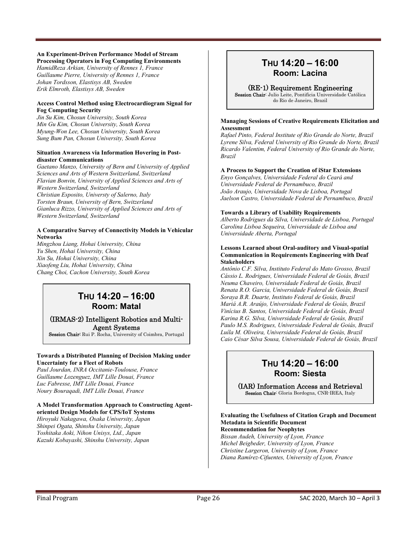### **An Experiment-Driven Performance Model of Stream**

**Processing Operators in Fog Computing Environments**  *HamidReza Arkian, University of Rennes 1, France Guillaume Pierre, University of Rennes 1, France Johan Tordsson, Elastisys AB, Sweden Erik Elmroth, Elastisys AB, Sweden* 

### **Access Control Method using Electrocardiogram Signal for Fog Computing Security**

*Jin Su Kim, Chosun University, South Korea Min Gu Kim, Chosun University, South Korea Myung-Won Lee, Chosun University, South Korea Sung Bum Pan, Chosun University, South Korea* 

#### **Situation Awareness via Information Hovering in Postdisaster Communications**

*Gaetano Manzo, University of Bern and University of Applied Sciences and Arts of Western Switzerland, Switzerland Flavian Bonvin, University of Applied Sciences and Arts of Western Switzerland, Switzerland Christian Esposito, Universty of Salerno, Italy Torsten Braun, University of Bern, Switzerland Gianluca Rizzo, University of Applied Sciences and Arts of Western Switzerland, Switzerland* 

### **A Comparative Survey of Connectivity Models in Vehicular Networks**

*Mingzhou Liang, Hohai University, China Yu Shen, Hohai University, China Xin Su, Hohai University, China Xiaofeng Liu, Hohai University, China Chang Choi, Cachon University, South Korea*

### **THU 14:20 – 16:00 Room: Matal**

### (IRMAS-2) Intelligent Robotics and Multi-Agent Systems

Session Chair: Rui P. Rocha, University of Coimbra, Portugal

### **Towards a Distributed Planning of Decision Making under Uncertainty for a Fleet of Robots**

*Paul Jourdan, INRA Occitanie-Toulouse, France Guillaume Lozenguez, IMT Lille Douai, France Luc Fabresse, IMT Lille Douai, France Noury Bouraqadi, IMT Lille Douai, France* 

#### **A Model Transformation Approach to Constructing Agentoriented Design Models for CPS/IoT Systems**

*Hiroyuki Nakagawa, Osaka University, Japan Shinpei Ogata, Shinshu University, Japan Yoshitaka Aoki, Nihon Unisys, Ltd., Japan Kazuki Kobayashi, Shinshu University, Japan* 

### **THU 14:20 – 16:00 Room: Lacina**

### (RE-1) Requirement Engineering

Session Chair: Julio Leite, Pontificia Universidade Católica do Rio de Janeiro, Brazil

#### **Managing Sessions of Creative Requirements Elicitation and Assessment**

*Rafael Pinto, Federal Institute of Rio Grande do Norte, Brazil Lyrene Silva, Federal University of Rio Grande do Norte, Brazil Ricardo Valentim, Federal University of Rio Grande do Norte, Brazil* 

### **A Process to Support the Creation of iStar Extensions**

*Enyo Gonçalves, Universidade Federal do Ceará and Universidade Federal de Pernambuco, Brazil João Araujo, Universidade Nova de Lisboa, Portugal Jaelson Castro, Universidade Federal de Pernambuco, Brazil* 

### **Towards a Library of Usability Requirements**

*Alberto Rodrigues da Silva, Universidade de Lisboa, Portugal Carolina Lisboa Sequeira, Universidade de Lisboa and Universidade Aberta, Portugal* 

#### **Lessons Learned about Oral-auditory and Visual-spatial Communication in Requirements Engineering with Deaf Stakeholders**

*Antônio C.F. Silva, Instituto Federal do Mato Grosso, Brazil Cássio L. Rodrigues, Universidade Federal de Goiás, Brazil Neuma Chaveiro, Universidade Federal de Goiás, Brazil Renata R.O. Garcia, Universidade Federal de Goiás, Brazil Soraya B.R. Duarte, Instituto Federal de Goiás, Brazil Mariá A.R. Araújo, Universidade Federal de Goiás, Brazil Vinícius B. Santos, Universidade Federal de Goiás, Brazil Karina R.G. Silva, Universidade Federal de Goiás, Brazil Paulo M.S. Rodrigues, Universidade Federal de Goiás, Brazil Luíla M. Oliveira, Universidade Federal de Goiás, Brazil Caio César Silva Sousa, Universidade Federal de Goiás, Brazil* 

### **THU 14:20 – 16:00 Room: Siesta**

### (IAR) Information Access and Retrieval

Session Chair: Gloria Bordogna, CNR-IREA, Italy

#### **Evaluating the Usefulness of Citation Graph and Document Metadata in Scientific Document Recommendation for Neophytes**

*Bissan Audeh, University of Lyon, France Michel Beigbeder, University of Lyon, France Christine Largeron, University of Lyon, France Diana Ramírez-Cifuentes, University of Lyon, France*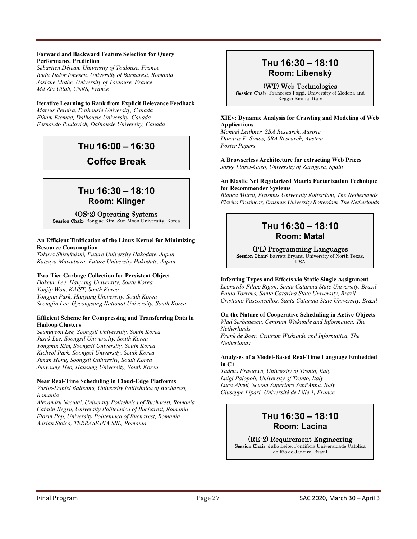#### **Forward and Backward Feature Selection for Query Performance Prediction**

*Sébastien Déjean, University of Toulouse, France Radu Tudor Ionescu, University of Bucharest, Romania Josiane Mothe, University of Toulouse, France Md Zia Ullah, CNRS, France* 

### **Iterative Learning to Rank from Explicit Relevance Feedback**

*Mateus Pereira, Dalhousie University, Canada Elham Etemad, Dalhousie University, Canada Fernando Paulovich, Dalhousie University, Canada*

### **THU 16:00 – 16:30**

**Coffee Break** 

### **THU 16:30 – 18:10 Room: Klinger**

### (OS-2) Operating Systems

Session Chair: Bongjae Kim, Sun Moon University, Korea

### **An Efficient Tinification of the Linux Kernel for Minimizing Resource Consumption**

*Takuya Shizukuishi, Future University Hakodate, Japan Katsuya Matsubara, Future University Hakodate, Japan* 

### **Two-Tier Garbage Collection for Persistent Object**

*Dokeun Lee, Hanyang University, South Korea Youjip Won, KAIST, South Korea Yongjun Park, Hanyang University, South Korea Seongjin Lee, Gyeongsang National University, South Korea* 

#### **Efficient Scheme for Compressing and Transferring Data in Hadoop Clusters**

*Seungyeon Lee, Soongsil Universilty, South Korea Jusuk Lee, Soongsil Universilty, South Korea Yongmin Kim, Soongsil University, South Korea Kicheol Park, Soongsil University, South Korea Jiman Hong, Soongsil University, South Korea Junyoung Heo, Hansung University, South Korea* 

### **Near Real-Time Scheduling in Cloud-Edge Platforms**

*Vasile-Daniel Balteanu, University Politehnica of Bucharest, Romania* 

*Alexandru Neculai, University Politehnica of Bucharest, Romania Catalin Negru, University Politehnica of Bucharest, Romania Florin Pop, University Politehnica of Bucharest, Romania Adrian Stoica, TERRASIGNA SRL, Romania*

### **THU 16:30 – 18:10 Room: Libenský**

(WT) Web Technologies

Session Chair: Francesco Poggi, University of Modena and Reggio Emilia, Italy

### **XIEv: Dynamic Analysis for Crawling and Modeling of Web Applications**

*Manuel Leithner, SBA Research, Austria Dimitris E. Simos, SBA Research, Austria Poster Papers* 

**A Browserless Architecture for extracting Web Prices**  *Jorge Lloret-Gazo, University of Zaragoza, Spain* 

#### **An Elastic Net Regularized Matrix Factorization Technique for Recommender Systems**

*Bianca Mitroi, Erasmus University Rotterdam, The Netherlands Flavius Frasincar, Erasmus University Rotterdam, The Netherlands* 

### **THU 16:30 – 18:10 Room: Matal**

### (PL) Programming Languages

Session Chair: Barrett Bryant, University of North Texas, **IISA** 

### **Inferring Types and Effects via Static Single Assignment**

*Leonardo Filipe Rigon, Santa Catarina State University, Brazil Paulo Torrens, Santa Catarina State University, Brazil Cristiano Vasconcellos, Santa Catarina State University, Brazil* 

### **On the Nature of Cooperative Scheduling in Active Objects**

*Vlad Serbanescu, Centrum Wiskunde and Informatica, The Netherlands* 

*Frank de Boer, Centrum Wiskunde and Informatica, The Netherlands* 

### **Analyses of a Model-Based Real-Time Language Embedded in C++**

*Tadeus Prastowo, University of Trento, Italy Luigi Palopoli, University of Trento, Italy Luca Abeni, Scuola Superiore Sant'Anna, Italy Giuseppe Lipari, Université de Lille 1, France*

### **THU 16:30 – 18:10 Room: Lacina**

(RE-2) Requirement Engineering Session Chair: Julio Leite, Pontificia Universidade Católica

do Rio de Janeiro, Brazil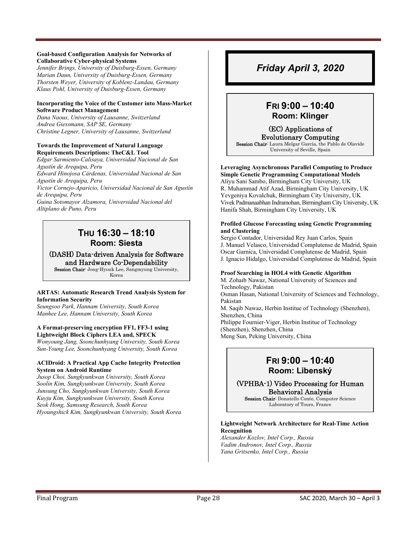#### **Goal-based Configuration Analysis for Networks of Collaborative Cyber-physical Systems**

*Jennifer Brings, University of Duisburg-Essen, Germany Marian Daun, University of Duisburg-Essen, Germany Thorsten Weyer, University of Koblenz-Landau, Germany Klaus Pohl, University of Duisburg-Essen, Germany* 

### **Incorporating the Voice of the Customer into Mass-Market Software Product Management**

*Dana Naous, University of Lausanne, Switzerland Andrea Giessmann, SAP SE, Germany Christine Legner, University of Lausanne, Switzerland* 

#### **Towards the Improvement of Natural Language Requirements Descriptions: TheC&L Tool**

*Edgar Sarmiento-Calisaya, Universidad Nacional de San Agustín de Arequipa, Peru Edward Hinojosa Cárdenas, Universidad Nacional de San Agustín de Arequipa, Peru Victor Cornejo-Aparicio, Universidad Nacional de San Agustín de Arequipa, Peru Guina Sotomayor Alzamora, Universidad Nacional del Altiplano de Puno, Peru* 

### **THU 16:30 – 18:10 Room: Siesta**

(DASH) Data-driven Analysis for Software and Hardware Co-Dependability Session Chair: Jong-Hyouk Lee, Sangmyung University,

Korea

### **ARTAS: Automatic Research Trend Analysis System for Information Security**

*Seungsoo Park, Hannam University, South Korea Manhee Lee, Hannam University, South Korea* 

### **A Format-preserving encryption FF1, FF3-1 using Lightweight Block Ciphers LEA and, SPECK**

*Wonyoung Jang, Soonchunhyang University, South Korea Sun-Young Lee, Soonchunhyang University, South Korea* 

### **ACIDroid: A Practical App Cache Integrity Protection System on Android Runtime**

*Jusop Choi, Sungkyunkwan University, South Korea Soolin Kim, Sungkyunkwan University, South Korea Junsung Cho, Sungkyunkwan University, South Korea Kuyju Kim, Sungkyunkwan University, South Korea Seok Hong, Samsung Research, South Korea Hyoungshick Kim, Sungkyunkwan University, South Korea* 

### *Friday April 3, 2020*

### **FRI 9:00 – 10:40 Room: Klinger**

(EC) Applications of Evolutionary Computing

Session Chair: Laura Melgar García, the Pablo de Olavide University of Seville, Spain

**Leveraging Asynchronous Parallel Computing to Produce Simple Genetic Programming Computational Models**  Aliyu Sani Sambo, Birmingham City University, UK R. Muhammad Atif Azad, Birmingham City University, UK Yevgeniya Kovalchuk, Birmingham City University, UK

Vivek Padmanaabhan Indramohan, Birmingham City University, UK Hanifa Shah, Birmingham City University, UK

#### **Profiled Glucose Forecasting using Genetic Programming and Clustering**

Sergio Contador, Universidad Rey Juan Carlos, Spain J. Manuel Velasco, Universidad Complutense de Madrid, Spain Oscar Garnica, Universidad Complutense de Madrid, Spain J. Ignacio Hidalgo, Universidad Complutense de Madrid, Spain

### **Proof Searching in HOL4 with Genetic Algorithm**

M. Zohaib Nawaz, National University of Sciences and Technology, Pakistan Osman Hasan, National University of Sciences and Technology, Pakistan M. Saqib Nawaz, Herbin Institue of Technology (Shenzhen), Shenzhen, China Philippe Fournier-Viger, Herbin Institue of Technology (Shenzhen), Shenzhen, China Meng Sun, Peking University, China

### **FRI 9:00 – 10:40 Room: Libenský**

(VPHBA-1) Video Processing for Human Behavioral Analysis Session Chair: Donatello Conte, Computer Science

Laboratory of Tours, France

### **Lightweight Network Architecture for Real-Time Action Recognition**

*Alexander Kozlov, Intel Corp., Russia Vadim Andronov, Intel Corp., Russia Yana Gritsenko, Intel Corp., Russia*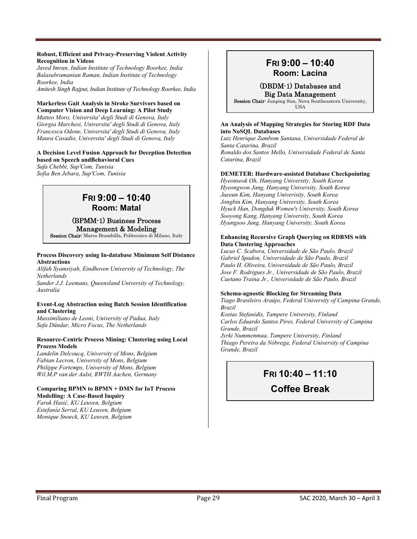#### **Robust, Efficient and Privacy-Preserving Violent Activity Recognition in Videos**

*Javed Imran, Indian Institute of Technology Roorkee, India Balasubramanian Raman, Indian Institute of Technology Roorkee, India* 

*Amitesh Singh Rajput, Indian Institute of Technology Roorkee, India* 

#### **Markerless Gait Analysis in Stroke Survivors based on Computer Vision and Deep Learning: A Pilot Study**

*Matteo Moro, Universita' degli Studi di Genova, Italy Giorgia Marchesi, Universita' degli Studi di Genova, Italy Francesca Odone, Universita' degli Studi di Genova, Italy Maura Casadio, Universita' degli Studi di Genova, Italy* 

#### **A Decision Level Fusion Approach for Deception Detection based on Speech andBehavioral Cues**

*Safa Chebbi, Sup'Com, Tunisia Sofia Ben Jebara, Sup'Com, Tunisia* 

### **FRI 9:00 – 10:40 Room: Matal**

### (BPMM-1) Business Process Management & Modeling

Session Chair: Marco Brambilla, Politecnico di Milano, Italy

#### **Process Discovery using In-database Minimum Self Distance Abstractions**

*Alifah Syamsiyah, Eindhoven University of Technology, The Netherlands* 

*Sander J.J. Leemans, Queensland University of Technology, Australia* 

#### **Event-Log Abstraction using Batch Session Identification and Clustering**

*Massimiliano de Leoni, University of Padua, Italy Safa Dündar, Micro Focus, The Netherlands* 

#### **Resource-Centric Process Mining: Clustering using Local Process Models**

*Landelin Delcoucq, University of Mons, Belgium Fabian Lecron, University of Mons, Belgium Philippe Fortemps, University of Mons, Belgium Wil.M.P van der Aalst, RWTH Aachen, Germany* 

#### **Comparing BPMN to BPMN + DMN for IoT Process Modelling: A Case-Based Inquiry**

*Faruk Hasić, KU Leuven, Belgium Estefanía Serral, KU Leuven, Belgium Monique Snoeck, KU Leuven, Belgium* 

### **FRI 9:00 – 10:40 Room: Lacina**

### (DBDM-1) Databases and

Big Data Management Session Chair: Junping Sun, Nova Southeastern University, USA

#### **An Analysis of Mapping Strategies for Storing RDF Data into NoSQL Databases**

*Luiz Henrique Zambom Santana, Universidade Federal de Santa Catarina, Brazil Ronaldo dos Santos Mello, Universidade Federal de Santa Catarina, Brazil* 

### **DEMETER: Hardware-assisted Database Checkpointing**

*Hyeonseok Oh, Hanyang University, South Korea Hyeongwon Jang, Hanyang University, South Korea Jaeeun Kim, Hanyang Univerisity, South Korea Jongbin Kim, Hanyang University, South Korea Hyuck Han, Dongduk Women's University, South Korea Sooyong Kang, Hanyang University, South Korea Hyungsoo Jung, Hanyang University, South Korea* 

#### **Enhancing Recursive Graph Querying on RDBMS with Data Clustering Approaches**

*Lucas C. Scabora, Universidade de São Paulo, Brazil Gabriel Spadon, Universidade de São Paulo, Brazil Paulo H. Oliveira, Universidade de São Paulo, Brazil Jose F. Rodrigues Jr., Universidade de São Paulo, Brazil Caetano Traina Jr., Universidade de São Paulo, Brazil* 

### **Schema-agnostic Blocking for Streaming Data**

*Tiago Brasileiro Araújo, Federal University of Campina Grande, Brazil Kostas Stefanidis, Tampere University, Finland* 

*Carlos Eduardo Santos Pires, Federal University of Campina Grande, Brazil* 

*Jyrki Nummenmaa, Tampere University, Finland Thiago Pereira da Nóbrega, Federal University of Campina Grande, Brazil* 

### **FRI 10:40 – 11:10**

### **Coffee Break**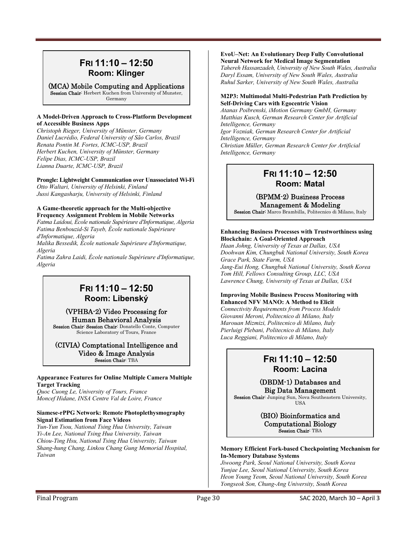### **FRI 11:10 – 12:50 Room: Klinger**

(MCA) Mobile Computing and Applications Session Chair: Herbert Kuchen from University of Munster, Germany

### **A Model-Driven Approach to Cross-Platform Development of Accessible Business Apps**

*Christoph Rieger, University of Münster, Germany Daniel Lucrédio, Federal University of São Carlos, Brazil Renata Pontin M. Fortes, ICMC-USP, Brazil Herbert Kuchen, University of Münster, Germany Felipe Dias, ICMC-USP, Brazil Lianna Duarte, ICMC-USP, Brazil* 

**Prongle: Lightweight Communication over Unassociated Wi-Fi**  *Otto Waltari, University of Helsinki, Finland Jussi Kangasharju, University of Helsinki, Finland* 

### **A Game-theoretic approach for the Multi-objective Frequency Assignment Problem in Mobile Networks**

*Fatma Laidoui, École nationale Supérieure d'Informatique, Algeria Fatima Benbouzid-Si Tayeb, École nationale Supérieure d'Informatique, Algeria* 

*Malika Bessedik, École nationale Supérieure d'Informatique, Algeria* 

*Fatima Zahra Laidi, École nationale Supérieure d'Informatique, Algeria* 

### **FRI 11:10 – 12:50 Room: Libenský**

### (VPHBA-2) Video Processing for Human Behavioral Analysis

Session Chair: Session Chair: Donatello Conte, Computer Science Laboratory of Tours, France

### (CIVIA) Comptational Intelligence and Video & Image Analysis Session Chair: TBA

### **Appearance Features for Online Multiple Camera Multiple Target Tracking**

*Quoc Cuong Le, University of Tours, France Moncef Hidane, INSA Centre Val de Loire, France* 

### **Siamese-rPPG Network: Remote Photoplethysmography Signal Estimation from Face Videos**

*Yun-Yun Tsou, National Tsing Hua University, Taiwan Yi-An Lee, National Tsing Hua University, Taiwan Chiou-Ting Hsu, National Tsing Hua University, Taiwan Shang-hung Chang, Linkou Chang Gung Memorial Hospital, Taiwan* 

### **EvoU–Net: An Evolutionary Deep Fully Convolutional Neural Network for Medical Image Segmentation**

*Tahereh Hassanzadeh, University of New South Wales, Australia Daryl Essam, University of New South Wales, Australia Ruhul Sarker, University of New South Wales, Australia* 

### **M2P3: Multimodal Multi-Pedestrian Path Prediction by Self-Driving Cars with Egocentric Vision**

*Atanas Poibrenski, iMotion Germany GmbH, Germany Matthias Kusch, German Research Center for Artificial Intelligence, Germany Igor Vozniak, German Research Center for Artificial Intelligence, Germany Christian Müller, German Research Center for Artificial Intelligence, Germany* 

### **FRI 11:10 – 12:50 Room: Matal**

### (BPMM-2) Business Process Management & Modeling

Session Chair: Marco Brambilla, Politecnico di Milano, Italy

### **Enhancing Business Processes with Trustworthiness using Blockchain: A Goal-Oriented Approach**

*Haan Johng, University of Texas at Dallas, USA Doohwan Kim, Chungbuk National University, South Korea Grace Park, State Farm, USA Jang-Eui Hong, Chungbuk National University, South Korea Tom Hill, Fellows Consulting Group, LLC, USA Lawrence Chung, University of Texas at Dallas, USA* 

### **Improving Mobile Business Process Monitoring with Enhanced NFV MANO: A Method to Elicit**

*Connectivity Requirements from Process Models Giovanni Meroni, Politecnico di Milano, Italy Marouan Mizmizi, Politecnico di Milano, Italy Pierluigi Plebani, Politecnico di Milano, Italy Luca Reggiani, Politecnico di Milano, Italy*

### **FRI 11:10 – 12:50 Room: Lacina**

### (DBDM-1) Databases and Big Data Management

Session Chair: Junping Sun, Nova Southeastern University, USA

> (BIO) Bioinformatics and Computational Biology Session Chair: TBA

### **Memory Efficient Fork-based Checkpointing Mechanism for In-Memory Database Systems**

*Jiwoong Park, Seoul National University, South Korea Yunjae Lee, Seoul National University, South Korea Heon Young Yeom, Seoul National University, South Korea Yongseok Son, Chung-Ang University, South Korea*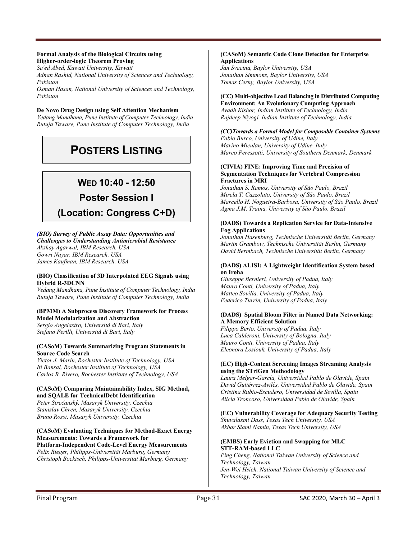#### **Formal Analysis of the Biological Circuits using Higher-order-logic Theorem Proving**

*Sa'ed Abed, Kuwait University, Kuwait* 

*Adnan Rashid, National University of Sciences and Technology, Pakistan* 

*Osman Hasan, National University of Sciences and Technology, Pakistan* 

### **De Novo Drug Design using Self Attention Mechanism**

*Vedang Mandhana, Pune Institute of Computer Technology, India Rutuja Taware, Pune Institute of Computer Technology, India* 

## **POSTERS LISTING**

### **WED 10:40 - 12:50**

### **Poster Session I**

### **(Location: Congress C+D)**

### *(BIO) Survey of Public Assay Data: Opportunities and*

*Challenges to Understanding Antimicrobial Resistance Akshay Agarwal, IBM Research, USA Gowri Nayar, IBM Research, USA James Kaufman, IBM Research, USA* 

#### **(BIO) Classification of 3D Interpolated EEG Signals using Hybrid R-3DCNN**

*Vedang Mandhana, Pune Institute of Computer Technology, India Rutuja Taware, Pune Institute of Computer Technology, India* 

### **(BPMM) A Subprocess Discovery Framework for Process Model Modularization and Abstraction**

*Sergio Angelastro, Università di Bari, Italy Stefano Ferilli, Università di Bari, Italy* 

#### **(CASoM) Towards Summarizing Program Statements in Source Code Search**

*Victor J. Marin, Rochester Institute of Technology, USA Iti Bansal, Rochester Institute of Technology, USA Carlos R. Rivero, Rochester Institute of Technology, USA* 

### **(CASoM) Comparing Maintainability Index, SIG Method, and SQALE for TechnicalDebt Identification**

*Peter Strečanský, Masaryk University, Czechia Stanislav Chren, Masaryk University, Czechia Bruno Rossi, Masaryk University, Czechia* 

### **(CASoM) Evaluating Techniques for Method-Exact Energy Measurements: Towards a Framework for**

**Platform-Independent Code-Level Energy Measurements**  *Felix Rieger, Philipps-Universität Marburg, Germany Christoph Bockisch, Philipps-Universität Marburg, Germany* 

#### **(CASoM) Semantic Code Clone Detection for Enterprise Applications**

*Jan Svacina, Baylor University, USA Jonathan Simmons, Baylor University, USA Tomas Cerny, Baylor University, USA* 

### **(CC) Multi-objective Load Balancing in Distributed Computing**

**Environment: An Evolutionary Computing Approach**  *Avadh Kishor, Indian Institute of Technology, India Rajdeep Niyogi, Indian Institute of Technology, India* 

### *(CC)Towards a Formal Model for Composable Container Systems*

*Fabio Burco, University of Udine, Italy Marino Miculan, University of Udine, Italy Marco Peressotti, University of Southern Denmark, Denmark* 

#### **(CIVIA) FINE: Improving Time and Precision of Segmentation Techniques for Vertebral Compression Fractures in MRI**

*Jonathan S. Ramos, University of São Paulo, Brazil Mirela T. Cazzolato, University of São Paulo, Brazil Marcello H. Nogueira-Barbosa, University of São Paulo, Brazil Agma J.M. Traina, University of São Paulo, Brazil* 

### **(DADS) Towards a Replication Service for Data-Intensive Fog Applications**

*Jonathan Hasenburg, Technische Universität Berlin, Germany Martin Grambow, Technische Universität Berlin, Germany David Bermbach, Technische Universität Berlin, Germany* 

#### **(DADS) ALISI: A Lightweight Identification System based on Iroha**

*Giuseppe Bernieri, University of Padua, Italy Mauro Conti, University of Padua, Italy Matteo Sovilla, University of Padua, Italy Federico Turrin, University of Padua, Italy* 

### **(DADS) Spatial Bloom Filter in Named Data Networking: A Memory Efficient Solution**

*Filippo Berto, University of Padua, Italy Luca Calderoni, University of Bologna, Italy Mauro Conti, University of Padua, Italy Eleonora Losiouk, University of Padua, Italy* 

### **(EC) High-Content Screening Images Streaming Analysis using the STriGen Methodology**

*Laura Melgar-García, Universidad Pablo de Olavide, Spain David Gutiérrez-Avilés, Universidad Pablo de Olavide, Spain Cristina Rubio-Escudero, Universidad de Sevilla, Spain Alicia Troncoso, Universidad Pablo de Olavide, Spain* 

#### **(EC) Vulnerability Coverage for Adequacy Security Testing**  *Shuvalaxmi Dass, Texas Tech University, USA*

*Akbar Siami Namin, Texas Tech University, USA* 

### **(EMBS) Early Eviction and Swapping for MLC STT-RAM-based LLC**

*Ping Cheng, National Taiwan University of Science and Technology, Taiwan Jen-Wei Hsieh, National Taiwan University of Science and Technology, Taiwan*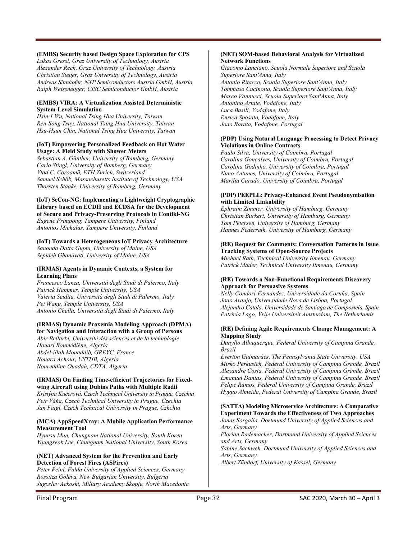### **(EMBS) Security based Design Space Exploration for CPS**

*Lukas Gressl, Graz University of Technology, Austria Alexander Rech, Graz University of Technology, Austria Christian Steger, Graz University of Technology, Austria Andreas Sinnhofer, NXP Semiconductors Austria GmbH, Austria Ralph Weissnegger, CISC Semiconductor GmbH, Austria* 

### **(EMBS) VIRA: A Virtualization Assisted Deterministic System-Level Simulation**

*Hsin-I Wu, National Tsing Hua University, Taiwan Ren-Song Tsay, National Tsing Hua University, Taiwan Hsu-Hsun Chin, National Tsing Hua University, Taiwan* 

### **(IoT) Empowering Personalized Feedback on Hot Water Usage: A Field Study with Shower Meters**

*Sebastian A. Günther, University of Bamberg, Germany Carlo Stingl, University of Bamberg, Germany Vlad C. Coroamă, ETH Zurich, Switzerland Samuel Schöb, Massachusetts Institute of Technology, USA Thorsten Staake, University of Bamberg, Germany* 

#### **(IoT) SeCon-NG: Implementing a Lightweight Cryptographic Library based on ECDH and ECDSA for the Development of Secure and Privacy-Preserving Protocols in Contiki-NG**  *Eugene Frimpong, Tampere University, Finland Antonios Michalas, Tampere University, Finland*

### **(IoT) Towards a Heterogeneous IoT Privacy Architecture**

*Sanonda Datta Gupta, University of Maine, USA Sepideh Ghanavati, University of Maine, USA* 

#### **(IRMAS) Agents in Dynamic Contexts, a System for Learning Plans**

*Francesco Lanza, Università degli Studi di Palermo, Italy Patrick Hammer, Temple University, USA Valeria Seidita, Università degli Studi di Palermo, Italy Pei Wang, Temple University, USA Antonio Chella, Università degli Studi di Palermo, Italy* 

#### **(IRMAS) Dynamic Proxemia Modeling Approach (DPMA) for Navigation and Interaction with a Group of Persons**

*Abir Bellarbi, Université des sciences et de la technologie Houari Boumédiène, Algeria Abdel-illah Mouaddib, GREYC, France Nouara Achour, USTHB, Algeria Noureddine Ouadah, CDTA, Algeria* 

#### **(IRMAS) On Finding Time-efficient Trajectories for Fixedwing Aircraft using Dubins Paths with Multiple Radii**

*Kristýna Kučerová, Czech Technical University in Prague, Czechia Petr Váňa, Czech Technical University in Prague, Czechia Jan Faigl, Czech Technical University in Prague, Czhchia* 

#### **(MCA) AppSpeedXray: A Mobile Application Performance Measurement Tool**

*Hyunsu Mun, Chungnam National University, South Korea Youngseok Lee, Chungnam National University, South Korea* 

### **(NET) Advanced System for the Prevention and Early Detection of Forest Fires (ASPires)**

*Peter Peinl, Fulda University of Applied Sciences, Germany Rossitza Goleva, New Bulgarian University, Bulgeria Jugoslav Ackoski, Miliary Academy Skopje, North Macedonia* 

#### **(NET) SOM-based Behavioral Analysis for Virtualized Network Functions**

*Giacomo Lanciano, Scuola Normale Superiore and Scuola Superiore Sant'Anna, Italy Antonio Ritacco, Scuola Superiore Sant'Anna, Italy Tommaso Cucinotta, Scuola Superiore Sant'Anna, Italy Marco Vannucci, Scuola Superiore Sant'Anna, Italy Antonino Artale, Vodafone, Italy Luca Basili, Vodafone, Italy Enrica Sposato, Vodafone, Italy Joao Barata, Vodafone, Portugal* 

### **(PDP) Using Natural Language Processing to Detect Privacy Violations in Online Contracts**

*Paulo Silva, University of Coimbra, Portugal Carolina Gonçalves, University of Coimbra, Portugal Carolina Godinho, University of Coimbra, Portugal Nuno Antunes, University of Coimbra, Portugal Marilia Curado, University of Coimbra, Portugal* 

### **(PDP) PEEPLL: Privacy-Enhanced Event Pseudonymisation with Limited Linkability**

*Ephraim Zimmer, University of Hamburg, Germany Christian Burkert, University of Hamburg, Germany Tom Petersen, University of Hamburg, Germany Hannes Federrath, University of Hamburg, Germany* 

#### **(RE) Request for Comments: Conversation Patterns in Issue Tracking Systems of Open-Source Projects**

*Michael Rath, Technical University Ilmenau, Germany Patrick Mäder, Technical University Ilmenau, Germany* 

#### **(RE) Towards a Non-Functional Requirements Discovery Approach for Persuasive Systems**

*Nelly Condori-Fernandez, Universidade da Coruña, Spain Joao Araujo, Universidade Nova de Lisboa, Portugal Alejandro Catala, Universidade de Santiago de Compostela, Spain Patricia Lago, Vrije Universiteit Amsterdam, The Netherlands* 

#### **(RE) Defining Agile Requirements Change Management: A Mapping Study**

*Danyllo Albuquerque, Federal University of Campina Grande, Brazil* 

*Everton Guimarães, The Pennsylvania State University, USA Mirko Perkusich, Federal University of Campina Grande, Brazil Alexandre Costa, Federal University of Campina Grande, Brazil Emanuel Dantas, Federal University of Campina Grande, Brazil Felipe Ramos, Federal University of Campina Grande, Brazil Hyggo Almeida, Federal University of Campina Grande, Brazil* 

### **(SATTA) Modeling Microservice Architecture: A Comparative Experiment Towards the Effectiveness of Two Approaches**

*Jonas Sorgalla, Dortmund University of Applied Sciences and Arts, Germany* 

*Florian Rademacher, Dortmund University of Applied Sciences and Arts, Germany* 

*Sabine Sachweh, Dortmund University of Applied Sciences and Arts, Germany* 

*Albert Zündorf, University of Kassel, Germany*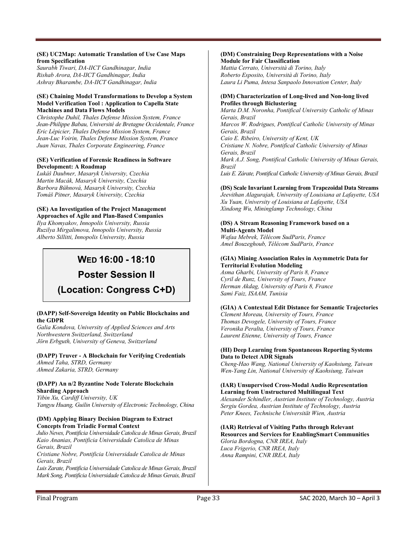### **(SE) UC2Map: Automatic Translation of Use Case Maps from Specification**

*Saurabh Tiwari, DA-IICT Gandhinagar, India Rishab Arora, DA-IICT Gandhinagar, India Ashray Bharambe, DA-IICT Gandhinagar, India* 

### **(SE) Chaining Model Transformations to Develop a System Model Verification Tool : Application to Capella State Machines and Data Flows Models**

*Christophe Duhil, Thales Defense Mission System, France Jean-Philippe Babau, Université de Bretagne Occidentale, France Eric Lépicier, Thales Defense Mission System, France Jean-Luc Voirin, Thales Defense Mission System, France Juan Navas, Thales Corporate Engineering, France* 

### **(SE) Verification of Forensic Readiness in Software Development: A Roadmap**

*Lukáš Daubner, Masaryk University, Czechia Martin Macák, Masaryk University, Czechia Barbora Bühnová, Masaryk University, Czechia Tomáš Pitner, Masaryk University, Czechia* 

#### **(SE) An Investigation of the Project Management Approaches of Agile and Plan-Based Companies**

*Ilya Khomyakov, Innopolis University, Russia Ruzilya Mirgalimova, Innopolis University, Russia Alberto Sillitti, Innopolis University, Russia* 

### **WED 16:00 - 18:10**

### **Poster Session II**

### **(Location: Congress C+D)**

### **(DAPP) Self-Sovereign Identity on Public Blockchains and the GDPR**

*Galia Kondova, University of Applied Sciences and Arts Northwestern Switzerland, Switzerland Jörn Erbguth, University of Geneva, Switzerland* 

**(DAPP) Truver - A Blockchain for Verifying Credentials**  *Ahmed Taha, STRD, Germany Ahmed Zakaria, STRD, Germany* 

### **(DAPP) An n/2 Byzantine Node Tolerate Blockchain Sharding Approach**

*Yibin Xu, Cardiff University, UK Yangyu Huang, Guilin University of Electronic Technology, China* 

### **(DM) Applying Binary Decision Diagram to Extract Concepts from Triadic Formal Context**

*Julio Neves, Pontificia Universidade Catolica de Minas Gerais, Brazil Kaio Ananias, Pontificia Universidade Catolica de Minas Gerais, Brazil* 

*Cristiane Nobre, Pontificia Universidade Catolica de Minas Gerais, Brazil* 

*Luis Zarate, Pontificia Universidade Catolica de Minas Gerais, Brazil Mark Song, Pontificia Universidade Catolica de Minas Gerais, Brazil* 

### **(DM) Constraining Deep Representations with a Noise Module for Fair Classification**

*Mattia Cerrato, Università di Torino, Italy Roberto Esposito, Università di Torino, Italy Laura Li Puma, Intesa Sanpaolo Innovation Center, Italy* 

### **(DM) Characterization of Long-lived and Non-long lived Profiles through Biclustering**

*Marta D.M. Noronha, Pontifical University Catholic of Minas Gerais, Brazil Marcos W. Rodrigues, Pontifical Catholic University of Minas Gerais, Brazil Caio E. Ribeiro, University of Kent, UK Cristiane N. Nobre, Pontifical Catholic University of Minas Gerais, Brazil Mark A.J. Song, Pontifical Catholic University of Minas Gerais, Brazil Luis E. Zárate, Pontifical Catholic University of Minas Gerais, Brazil* 

### **(DS) Scale Invariant Learning from Trapezoidal Data Streams**

*Jeevithan Alagurajah, University of Louisiana at Lafayette, USA Xu Yuan, University of Louisiana at Lafayette, USA Xindong Wu, Mininglamp Technology, China* 

#### **(DS) A Stream Reasoning Framework based on a Multi-Agents Model**

*Wafaa Mebrek, Télécom SudParis, France Amel Bouzeghoub, Télécom SudParis, France* 

### **(GIA) Mining Association Rules in Asymmetric Data for Territorial Evolution Modeling**

*Asma Gharbi, University of Paris 8, France Cyril de Runz, University of Tours, France Herman Akdag, University of Paris 8, France Sami Faiz, ISAAM, Tunisia* 

### **(GIA) A Contextual Edit Distance for Semantic Trajectories**

*Clement Moreau, University of Tours, France Thomas Devogele, University of Tours, France Veronika Peralta, University of Tours, France Laurent Etienne, University of Tours, France* 

### **(HI) Deep Learning from Spontaneous Reporting Systems Data to Detect ADR Signals**

*Cheng-Hao Wang, National University of Kaohsiung, Taiwan Wen-Yang Lin, National University of Kaohsiung, Taiwan* 

### **(IAR) Unsupervised Cross-Modal Audio Representation Learning from Unstructured Multilingual Text**

*Alexander Schindler, Austrian Institute of Technology, Austria Sergiu Gordea, Austrian Institute of Technology, Austria Peter Knees, Technische Universität Wien, Austria* 

### **(IAR) Retrieval of Visiting Paths through Relevant**

**Resources and Services for EnablingSmart Communities**  *Gloria Bordogna, CNR IREA, Italy Luca Frigerio, CNR IREA, Italy Anna Rampini, CNR IREA, Italy*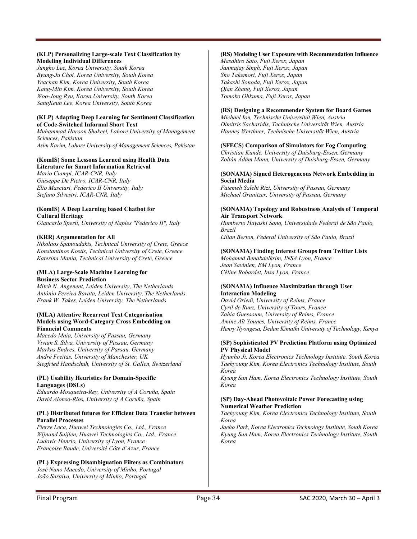### **(KLP) Personalizing Large-scale Text Classification by Modeling Individual Differences**

*Jungho Lee, Korea University, South Korea Byung-Ju Choi, Korea University, South Korea Yeachan Kim, Korea University, South Korea Kang-Min Kim, Korea University, South Korea Woo-Jong Ryu, Korea University, South Korea SangKeun Lee, Korea University, South Korea* 

### **(KLP) Adapting Deep Learning for Sentiment Classification of Code-Switched Informal Short Text**

*Muhammad Haroon Shakeel, Lahore University of Management Sciences, Pakistan Asim Karim, Lahore University of Management Sciences, Pakistan* 

### **(KomIS) Some Lessons Learned using Health Data**

**Literature for Smart Information Retrieval**  *Mario Ciampi, ICAR-CNR, Italy Giuseppe De Pietro, ICAR-CNR, Italy Elio Masciari, Federico II University, Italy Stefano Silvestri, ICAR-CNR, Italy* 

### **(KomIS) A Deep Learning based Chatbot for Cultural Heritage**

*Giancarlo Sperlì, University of Naples "Federico II", Italy* 

### **(KRR) Argumentation for All**

*Nikolaos Spanoudakis, Technical University of Crete, Greece Konstantinos Kostis, Technical University of Crete, Greece Katerina Mania, Technical University of Crete, Greece* 

### **(MLA) Large-Scale Machine Learning for Business Sector Prediction**

*Mitch N. Angenent, Leiden University, The Netherlands António Pereira Barata, Leiden University, The Netherlands Frank W. Takes, Leiden University, The Netherlands* 

#### **(MLA) Attentive Recurrent Text Categorisation Models using Word-Category Cross Embedding on Financial Comments**

*Macedo Maia, University of Passau, Germany Vivian S. Silva, University of Passau, Germany Markus Endres, University of Passau, Germany André Freitas, University of Manchester, UK Siegfried Handschuh, University of St. Gallen, Switzerland* 

### **(PL) Usability Heuristics for Domain-Specific Languages (DSLs)**

*Eduardo Mosqueira-Rey, University of A Coruña, Spain David Alonso-Rios, University of A Coruña, Spain* 

### **(PL) Distributed futures for Efficient Data Transfer between Parallel Processes**

*Pierre Leca, Huawei Technologies Co., Ltd., France Wijnand Suijlen, Huawei Technologies Co., Ltd., France Ludovic Henrio, University of Lyon, France Françoise Baude, Université Côte d'Azur, France* 

### **(PL) Expressing Disambiguation Filters as Combinators**

*José Nuno Macedo, University of Minho, Portugal João Saraiva, University of Minho, Portugal* 

### **(RS) Modeling User Exposure with Recommendation Influence**

*Masahiro Sato, Fuji Xerox, Japan Janmajay Singh, Fuji Xerox, Japan Sho Takemori, Fuji Xerox, Japan Takashi Sonoda, Fuji Xerox, Japan Qian Zhang, Fuji Xerox, Japan Tomoko Ohkuma, Fuji Xerox, Japan* 

### **(RS) Designing a Recommender System for Board Games**

*Michael Ion, Technische Universität Wien, Austria Dimitris Sacharidis, Technische Universität Wien, Austria Hannes Werthner, Technische Universität Wien, Austria* 

### **(SFECS) Comparison of Simulators for Fog Computing**

*Christian Kunde, University of Duisburg-Essen, Germany Zoltán Ádám Mann, University of Duisburg-Essen, Germany* 

#### **(SONAMA) Signed Heterogeneous Network Embedding in Social Media**

*Fatemeh Salehi Rizi, University of Passau, Germany Michael Granitzer, University of Passau, Germany* 

### **(SONAMA) Topology and Robustness Analysis of Temporal Air Transport Network**

*Humberto Hayashi Sano, Universidade Federal de São Paulo, Brazil Lilian Berton, Federal University of São Paulo, Brazil* 

### **(SONAMA) Finding Interest Groups from Twitter Lists**

*Mohamed Benabdelkrim, INSA Lyon, France Jean Savinien, EM Lyon, France Céline Robardet, Insa Lyon, France* 

### **(SONAMA) Influence Maximization through User Interaction Modeling**

*David Oriedi, University of Reims, France Cyril de Runz, University of Tours, France Zahia Guessoum, University of Reims, France Amine Aït Younes, University of Reims, France Henry Nyongesa, Dedan Kimathi University of Technology, Kenya* 

#### **(SP) Sophisticated PV Prediction Platform using Optimized PV Physical Model**

*Hyunho Ji, Korea Electronics Technology Institute, South Korea Taehyoung Kim, Korea Electronics Technology Institute, South Korea* 

*Kyung Sun Ham, Korea Electronics Technology Institute, South Korea* 

### **(SP) Day-Ahead Photovoltaic Power Forecasting using Numerical Weather Prediction**

*Taehyoung Kim, Korea Electronics Technology Institute, South Korea* 

*Jaeho Park, Korea Electronics Technology Institute, South Korea Kyung Sun Ham, Korea Electronics Technology Institute, South Korea*